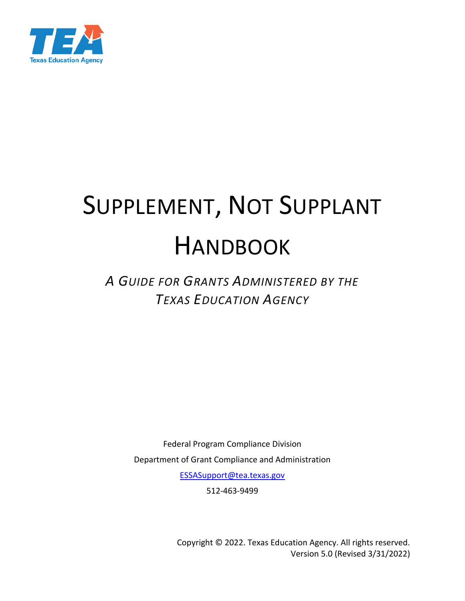

# SUPPLEMENT, NOT SUPPLANT HANDBOOK

# *A GUIDE FOR GRANTS ADMINISTERED BY THE TEXAS EDUCATION AGENCY*

Federal Program Compliance Division Department of Grant Compliance and Administration [ESSASupport@tea.texas.gov](mailto:ESSASupport@tea.texas.gov)

512-463-9499

Copyright © 2022. Texas Education Agency. All rights reserved. Version 5.0 (Revised 3/31/2022)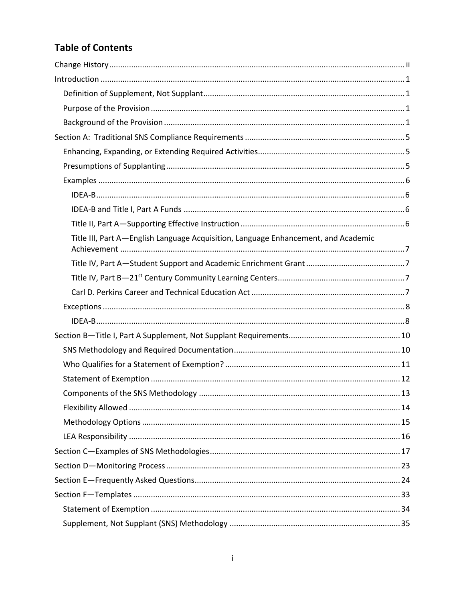# **Table of Contents**

| Title III, Part A-English Language Acquisition, Language Enhancement, and Academic |
|------------------------------------------------------------------------------------|
|                                                                                    |
|                                                                                    |
|                                                                                    |
|                                                                                    |
|                                                                                    |
|                                                                                    |
|                                                                                    |
|                                                                                    |
|                                                                                    |
|                                                                                    |
|                                                                                    |
|                                                                                    |
|                                                                                    |
|                                                                                    |
|                                                                                    |
|                                                                                    |
|                                                                                    |
|                                                                                    |
|                                                                                    |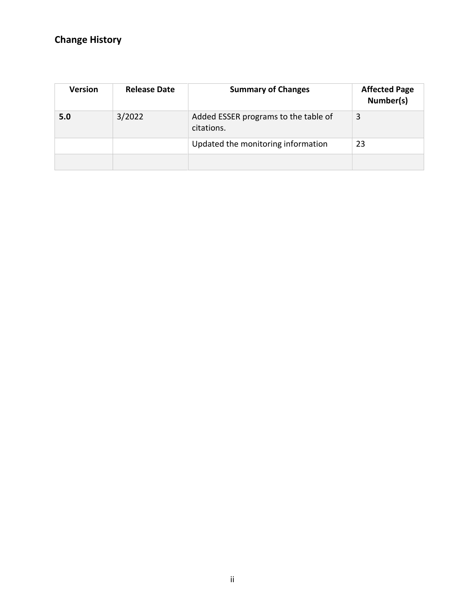# <span id="page-2-0"></span>**Change History**

| <b>Version</b> | <b>Release Date</b> | <b>Summary of Changes</b>                          | <b>Affected Page</b><br>Number(s) |
|----------------|---------------------|----------------------------------------------------|-----------------------------------|
| 5.0            | 3/2022              | Added ESSER programs to the table of<br>citations. | 3                                 |
|                |                     | Updated the monitoring information                 | 23                                |
|                |                     |                                                    |                                   |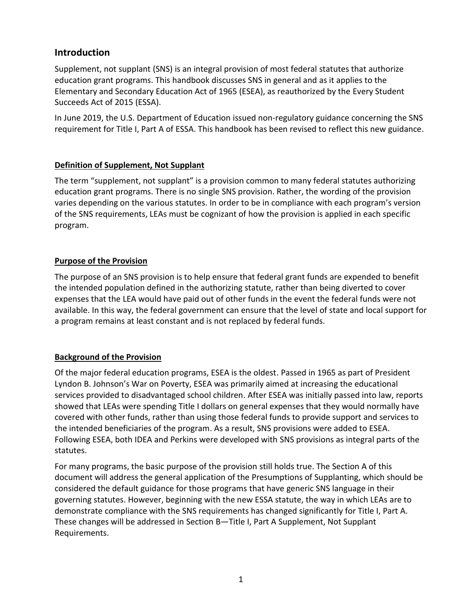# <span id="page-3-0"></span>**Introduction**

Supplement, not supplant (SNS) is an integral provision of most federal statutes that authorize education grant programs. This handbook discusses SNS in general and as it applies to the Elementary and Secondary Education Act of 1965 (ESEA), as reauthorized by the Every Student Succeeds Act of 2015 (ESSA).

In June 2019, the U.S. Department of Education issued non-regulatory guidance concerning the SNS requirement for Title I, Part A of ESSA. This handbook has been revised to reflect this new guidance.

#### <span id="page-3-1"></span>**Definition of Supplement, Not Supplant**

The term "supplement, not supplant" is a provision common to many federal statutes authorizing education grant programs. There is no single SNS provision. Rather, the wording of the provision varies depending on the various statutes. In order to be in compliance with each program's version of the SNS requirements, LEAs must be cognizant of how the provision is applied in each specific program.

#### <span id="page-3-2"></span>**Purpose of the Provision**

The purpose of an SNS provision is to help ensure that federal grant funds are expended to benefit the intended population defined in the authorizing statute, rather than being diverted to cover expenses that the LEA would have paid out of other funds in the event the federal funds were not available. In this way, the federal government can ensure that the level of state and local support for a program remains at least constant and is not replaced by federal funds.

#### <span id="page-3-3"></span>**Background of the Provision**

Of the major federal education programs, ESEA is the oldest. Passed in 1965 as part of President Lyndon B. Johnson's War on Poverty, ESEA was primarily aimed at increasing the educational services provided to disadvantaged school children. After ESEA was initially passed into law, reports showed that LEAs were spending Title I dollars on general expenses that they would normally have covered with other funds, rather than using those federal funds to provide support and services to the intended beneficiaries of the program. As a result, SNS provisions were added to ESEA. Following ESEA, both IDEA and Perkins were developed with SNS provisions as integral parts of the statutes.

For many programs, the basic purpose of the provision still holds true. The Section A of this document will address the general application of the Presumptions of Supplanting, which should be considered the default guidance for those programs that have generic SNS language in their governing statutes. However, beginning with the new ESSA statute, the way in which LEAs are to demonstrate compliance with the SNS requirements has changed significantly for Title I, Part A. These changes will be addressed in Section B—Title I, Part A Supplement, Not Supplant Requirements.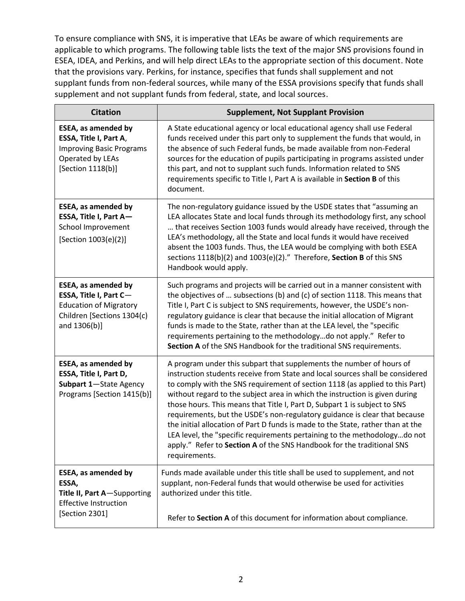To ensure compliance with SNS, it is imperative that LEAs be aware of which requirements are applicable to which programs. The following table lists the text of the major SNS provisions found in ESEA, IDEA, and Perkins, and will help direct LEAs to the appropriate section of this document. Note that the provisions vary. Perkins, for instance, specifies that funds shall supplement and not supplant funds from non-federal sources, while many of the ESSA provisions specify that funds shall supplement and not supplant funds from federal, state, and local sources.

| <b>Citation</b>                                                                                                                     | <b>Supplement, Not Supplant Provision</b>                                                                                                                                                                                                                                                                                                                                                                                                                                                                                                                                                                                                                                                                                                  |
|-------------------------------------------------------------------------------------------------------------------------------------|--------------------------------------------------------------------------------------------------------------------------------------------------------------------------------------------------------------------------------------------------------------------------------------------------------------------------------------------------------------------------------------------------------------------------------------------------------------------------------------------------------------------------------------------------------------------------------------------------------------------------------------------------------------------------------------------------------------------------------------------|
| ESEA, as amended by<br>ESSA, Title I, Part A,<br><b>Improving Basic Programs</b><br>Operated by LEAs<br>[Section 1118(b)]           | A State educational agency or local educational agency shall use Federal<br>funds received under this part only to supplement the funds that would, in<br>the absence of such Federal funds, be made available from non-Federal<br>sources for the education of pupils participating in programs assisted under<br>this part, and not to supplant such funds. Information related to SNS<br>requirements specific to Title I, Part A is available in Section B of this<br>document.                                                                                                                                                                                                                                                        |
| <b>ESEA, as amended by</b><br>ESSA, Title I, Part A-<br>School Improvement<br>[Section 1003(e)(2)]                                  | The non-regulatory guidance issued by the USDE states that "assuming an<br>LEA allocates State and local funds through its methodology first, any school<br>that receives Section 1003 funds would already have received, through the<br>LEA's methodology, all the State and local funds it would have received<br>absent the 1003 funds. Thus, the LEA would be complying with both ESEA<br>sections 1118(b)(2) and 1003(e)(2)." Therefore, Section B of this SNS<br>Handbook would apply.                                                                                                                                                                                                                                               |
| <b>ESEA, as amended by</b><br>ESSA, Title I, Part C-<br><b>Education of Migratory</b><br>Children [Sections 1304(c)<br>and 1306(b)] | Such programs and projects will be carried out in a manner consistent with<br>the objectives of  subsections (b) and (c) of section 1118. This means that<br>Title I, Part C is subject to SNS requirements, however, the USDE's non-<br>regulatory guidance is clear that because the initial allocation of Migrant<br>funds is made to the State, rather than at the LEA level, the "specific<br>requirements pertaining to the methodologydo not apply." Refer to<br>Section A of the SNS Handbook for the traditional SNS requirements.                                                                                                                                                                                                |
| <b>ESEA, as amended by</b><br>ESSA, Title I, Part D,<br>Subpart 1-State Agency<br>Programs [Section 1415(b)]                        | A program under this subpart that supplements the number of hours of<br>instruction students receive from State and local sources shall be considered<br>to comply with the SNS requirement of section 1118 (as applied to this Part)<br>without regard to the subject area in which the instruction is given during<br>those hours. This means that Title I, Part D, Subpart 1 is subject to SNS<br>requirements, but the USDE's non-regulatory guidance is clear that because<br>the initial allocation of Part D funds is made to the State, rather than at the<br>LEA level, the "specific requirements pertaining to the methodologydo not<br>apply." Refer to Section A of the SNS Handbook for the traditional SNS<br>requirements. |
| <b>ESEA, as amended by</b><br>ESSA,<br>Title II, Part A-Supporting<br><b>Effective Instruction</b><br>[Section 2301]                | Funds made available under this title shall be used to supplement, and not<br>supplant, non-Federal funds that would otherwise be used for activities<br>authorized under this title.<br>Refer to Section A of this document for information about compliance.                                                                                                                                                                                                                                                                                                                                                                                                                                                                             |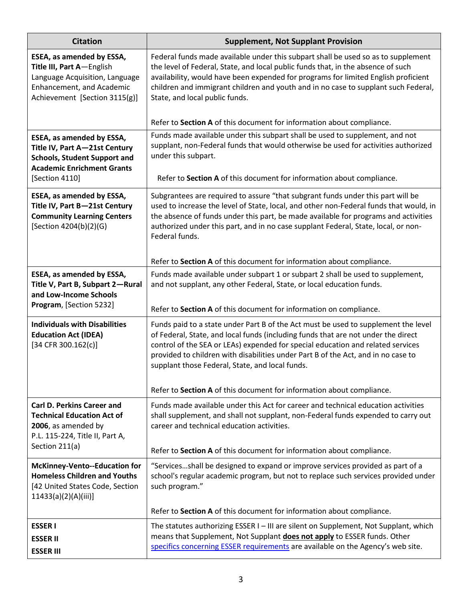| <b>Citation</b>                                                                                                                                          | <b>Supplement, Not Supplant Provision</b>                                                                                                                                                                                                                                                                                                                                                                                                         |
|----------------------------------------------------------------------------------------------------------------------------------------------------------|---------------------------------------------------------------------------------------------------------------------------------------------------------------------------------------------------------------------------------------------------------------------------------------------------------------------------------------------------------------------------------------------------------------------------------------------------|
| ESEA, as amended by ESSA,<br>Title III, Part A-English<br>Language Acquisition, Language<br>Enhancement, and Academic<br>Achievement [Section 3115(g)]   | Federal funds made available under this subpart shall be used so as to supplement<br>the level of Federal, State, and local public funds that, in the absence of such<br>availability, would have been expended for programs for limited English proficient<br>children and immigrant children and youth and in no case to supplant such Federal,<br>State, and local public funds.                                                               |
|                                                                                                                                                          | Refer to Section A of this document for information about compliance.                                                                                                                                                                                                                                                                                                                                                                             |
| ESEA, as amended by ESSA,<br>Title IV, Part A-21st Century<br><b>Schools, Student Support and</b><br><b>Academic Enrichment Grants</b><br>[Section 4110] | Funds made available under this subpart shall be used to supplement, and not<br>supplant, non-Federal funds that would otherwise be used for activities authorized<br>under this subpart.<br>Refer to Section A of this document for information about compliance.                                                                                                                                                                                |
| ESEA, as amended by ESSA,<br>Title IV, Part B-21st Century<br><b>Community Learning Centers</b><br>[Section 4204(b)(2)(G)                                | Subgrantees are required to assure "that subgrant funds under this part will be<br>used to increase the level of State, local, and other non-Federal funds that would, in<br>the absence of funds under this part, be made available for programs and activities<br>authorized under this part, and in no case supplant Federal, State, local, or non-<br>Federal funds.<br>Refer to Section A of this document for information about compliance. |
| ESEA, as amended by ESSA,                                                                                                                                | Funds made available under subpart 1 or subpart 2 shall be used to supplement,                                                                                                                                                                                                                                                                                                                                                                    |
| Title V, Part B, Subpart 2-Rural<br>and Low-Income Schools<br>Program, [Section 5232]                                                                    | and not supplant, any other Federal, State, or local education funds.                                                                                                                                                                                                                                                                                                                                                                             |
|                                                                                                                                                          | Refer to Section A of this document for information on compliance.                                                                                                                                                                                                                                                                                                                                                                                |
| <b>Individuals with Disabilities</b><br><b>Education Act (IDEA)</b><br>$[34$ CFR 300.162(c)]                                                             | Funds paid to a state under Part B of the Act must be used to supplement the level<br>of Federal, State, and local funds (including funds that are not under the direct<br>control of the SEA or LEAs) expended for special education and related services<br>provided to children with disabilities under Part B of the Act, and in no case to<br>supplant those Federal, State, and local funds.                                                |
|                                                                                                                                                          | Refer to Section A of this document for information about compliance.                                                                                                                                                                                                                                                                                                                                                                             |
| <b>Carl D. Perkins Career and</b><br><b>Technical Education Act of</b><br>2006, as amended by<br>P.L. 115-224, Title II, Part A,                         | Funds made available under this Act for career and technical education activities<br>shall supplement, and shall not supplant, non-Federal funds expended to carry out<br>career and technical education activities.                                                                                                                                                                                                                              |
| Section 211(a)                                                                                                                                           | Refer to Section A of this document for information about compliance.                                                                                                                                                                                                                                                                                                                                                                             |
| <b>McKinney-Vento--Education for</b><br><b>Homeless Children and Youths</b><br>[42 United States Code, Section<br>$11433(a)(2)(A)(iii)$ ]                | "Servicesshall be designed to expand or improve services provided as part of a<br>school's regular academic program, but not to replace such services provided under<br>such program."                                                                                                                                                                                                                                                            |
|                                                                                                                                                          | Refer to Section A of this document for information about compliance.                                                                                                                                                                                                                                                                                                                                                                             |
| <b>ESSERI</b><br><b>ESSER II</b><br><b>ESSER III</b>                                                                                                     | The statutes authorizing ESSER I - III are silent on Supplement, Not Supplant, which<br>means that Supplement, Not Supplant does not apply to ESSER funds. Other<br>specifics concerning ESSER requirements are available on the Agency's web site.                                                                                                                                                                                               |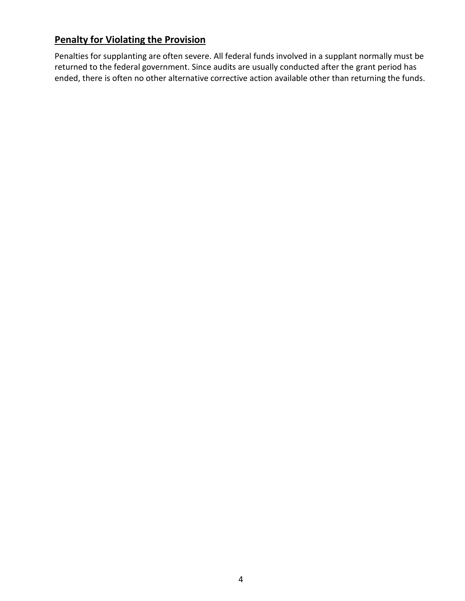# **Penalty for Violating the Provision**

Penalties for supplanting are often severe. All federal funds involved in a supplant normally must be returned to the federal government. Since audits are usually conducted after the grant period has ended, there is often no other alternative corrective action available other than returning the funds.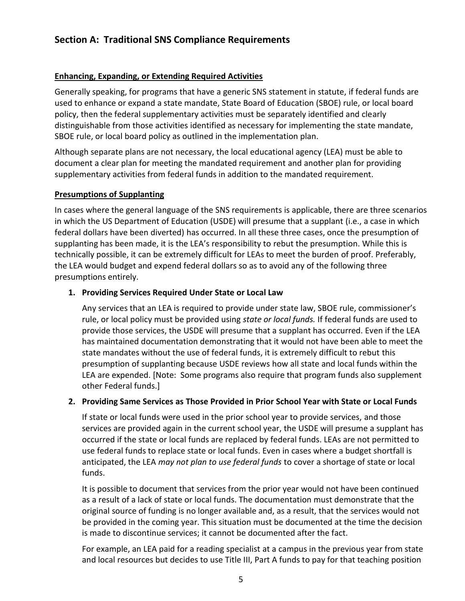# <span id="page-7-0"></span>**Section A: Traditional SNS Compliance Requirements**

#### <span id="page-7-1"></span>**Enhancing, Expanding, or Extending Required Activities**

Generally speaking, for programs that have a generic SNS statement in statute, if federal funds are used to enhance or expand a state mandate, State Board of Education (SBOE) rule, or local board policy, then the federal supplementary activities must be separately identified and clearly distinguishable from those activities identified as necessary for implementing the state mandate, SBOE rule, or local board policy as outlined in the implementation plan.

Although separate plans are not necessary, the local educational agency (LEA) must be able to document a clear plan for meeting the mandated requirement and another plan for providing supplementary activities from federal funds in addition to the mandated requirement.

#### <span id="page-7-2"></span>**Presumptions of Supplanting**

In cases where the general language of the SNS requirements is applicable, there are three scenarios in which the US Department of Education (USDE) will presume that a supplant (i.e., a case in which federal dollars have been diverted) has occurred. In all these three cases, once the presumption of supplanting has been made, it is the LEA's responsibility to rebut the presumption. While this is technically possible, it can be extremely difficult for LEAs to meet the burden of proof. Preferably, the LEA would budget and expend federal dollars so as to avoid any of the following three presumptions entirely.

#### **1. Providing Services Required Under State or Local Law**

Any services that an LEA is required to provide under state law, SBOE rule, commissioner's rule, or local policy must be provided using *state or local funds.* If federal funds are used to provide those services, the USDE will presume that a supplant has occurred. Even if the LEA has maintained documentation demonstrating that it would not have been able to meet the state mandates without the use of federal funds, it is extremely difficult to rebut this presumption of supplanting because USDE reviews how all state and local funds within the LEA are expended. [Note: Some programs also require that program funds also supplement other Federal funds.]

#### **2. Providing Same Services as Those Provided in Prior School Year with State or Local Funds**

If state or local funds were used in the prior school year to provide services, and those services are provided again in the current school year, the USDE will presume a supplant has occurred if the state or local funds are replaced by federal funds. LEAs are not permitted to use federal funds to replace state or local funds. Even in cases where a budget shortfall is anticipated, the LEA *may not plan to use federal funds* to cover a shortage of state or local funds.

It is possible to document that services from the prior year would not have been continued as a result of a lack of state or local funds. The documentation must demonstrate that the original source of funding is no longer available and, as a result, that the services would not be provided in the coming year. This situation must be documented at the time the decision is made to discontinue services; it cannot be documented after the fact.

For example, an LEA paid for a reading specialist at a campus in the previous year from state and local resources but decides to use Title III, Part A funds to pay for that teaching position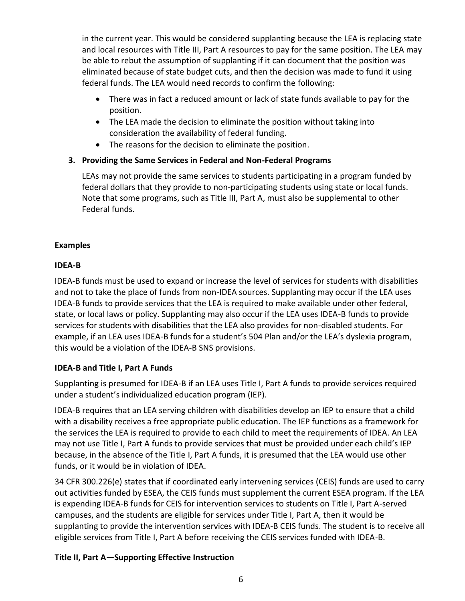in the current year. This would be considered supplanting because the LEA is replacing state and local resources with Title III, Part A resources to pay for the same position. The LEA may be able to rebut the assumption of supplanting if it can document that the position was eliminated because of state budget cuts, and then the decision was made to fund it using federal funds. The LEA would need records to confirm the following:

- There was in fact a reduced amount or lack of state funds available to pay for the position.
- The LEA made the decision to eliminate the position without taking into consideration the availability of federal funding.
- The reasons for the decision to eliminate the position.

## **3. Providing the Same Services in Federal and Non-Federal Programs**

LEAs may not provide the same services to students participating in a program funded by federal dollars that they provide to non-participating students using state or local funds. Note that some programs, such as Title III, Part A, must also be supplemental to other Federal funds.

#### <span id="page-8-0"></span>**Examples**

#### <span id="page-8-1"></span>**IDEA-B**

IDEA-B funds must be used to expand or increase the level of services for students with disabilities and not to take the place of funds from non-IDEA sources. Supplanting may occur if the LEA uses IDEA-B funds to provide services that the LEA is required to make available under other federal, state, or local laws or policy. Supplanting may also occur if the LEA uses IDEA-B funds to provide services for students with disabilities that the LEA also provides for non-disabled students. For example, if an LEA uses IDEA-B funds for a student's 504 Plan and/or the LEA's dyslexia program, this would be a violation of the IDEA-B SNS provisions.

#### <span id="page-8-2"></span>**IDEA-B and Title I, Part A Funds**

Supplanting is presumed for IDEA-B if an LEA uses Title I, Part A funds to provide services required under a student's individualized education program (IEP).

IDEA-B requires that an LEA serving children with disabilities develop an IEP to ensure that a child with a disability receives a free appropriate public education. The IEP functions as a framework for the services the LEA is required to provide to each child to meet the requirements of IDEA. An LEA may not use Title I, Part A funds to provide services that must be provided under each child's IEP because, in the absence of the Title I, Part A funds, it is presumed that the LEA would use other funds, or it would be in violation of IDEA.

34 CFR 300.226(e) states that if coordinated early intervening services (CEIS) funds are used to carry out activities funded by ESEA, the CEIS funds must supplement the current ESEA program. If the LEA is expending IDEA-B funds for CEIS for intervention services to students on Title I, Part A-served campuses, and the students are eligible for services under Title I, Part A, then it would be supplanting to provide the intervention services with IDEA-B CEIS funds. The student is to receive all eligible services from Title I, Part A before receiving the CEIS services funded with IDEA-B.

#### <span id="page-8-3"></span>**Title II, Part A—Supporting Effective Instruction**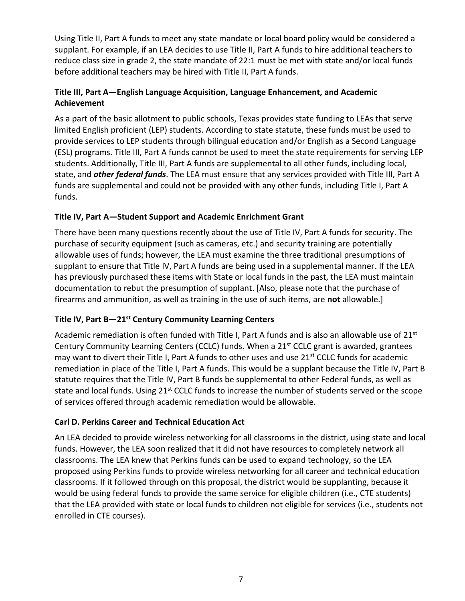Using Title II, Part A funds to meet any state mandate or local board policy would be considered a supplant. For example, if an LEA decides to use Title II, Part A funds to hire additional teachers to reduce class size in grade 2, the state mandate of 22:1 must be met with state and/or local funds before additional teachers may be hired with Title II, Part A funds.

#### <span id="page-9-0"></span>**Title III, Part A—English Language Acquisition, Language Enhancement, and Academic Achievement**

As a part of the basic allotment to public schools, Texas provides state funding to LEAs that serve limited English proficient (LEP) students. According to state statute, these funds must be used to provide services to LEP students through bilingual education and/or English as a Second Language (ESL) programs. Title III, Part A funds cannot be used to meet the state requirements for serving LEP students. Additionally, Title III, Part A funds are supplemental to all other funds, including local, state, and *other federal funds*. The LEA must ensure that any services provided with Title III, Part A funds are supplemental and could not be provided with any other funds, including Title I, Part A funds.

#### <span id="page-9-1"></span>**Title IV, Part A—Student Support and Academic Enrichment Grant**

There have been many questions recently about the use of Title IV, Part A funds for security. The purchase of security equipment (such as cameras, etc.) and security training are potentially allowable uses of funds; however, the LEA must examine the three traditional presumptions of supplant to ensure that Title IV, Part A funds are being used in a supplemental manner. If the LEA has previously purchased these items with State or local funds in the past, the LEA must maintain documentation to rebut the presumption of supplant. [Also, please note that the purchase of firearms and ammunition, as well as training in the use of such items, are **not** allowable.]

#### <span id="page-9-2"></span>**Title IV, Part B—21st Century Community Learning Centers**

Academic remediation is often funded with Title I, Part A funds and is also an allowable use of 21<sup>st</sup> Century Community Learning Centers (CCLC) funds. When a 21<sup>st</sup> CCLC grant is awarded, grantees may want to divert their Title I, Part A funds to other uses and use 21<sup>st</sup> CCLC funds for academic remediation in place of the Title I, Part A funds. This would be a supplant because the Title IV, Part B statute requires that the Title IV, Part B funds be supplemental to other Federal funds, as well as state and local funds. Using 21<sup>st</sup> CCLC funds to increase the number of students served or the scope of services offered through academic remediation would be allowable.

#### <span id="page-9-3"></span>**Carl D. Perkins Career and Technical Education Act**

An LEA decided to provide wireless networking for all classrooms in the district, using state and local funds. However, the LEA soon realized that it did not have resources to completely network all classrooms. The LEA knew that Perkins funds can be used to expand technology, so the LEA proposed using Perkins funds to provide wireless networking for all career and technical education classrooms. If it followed through on this proposal, the district would be supplanting, because it would be using federal funds to provide the same service for eligible children (i.e., CTE students) that the LEA provided with state or local funds to children not eligible for services (i.e., students not enrolled in CTE courses).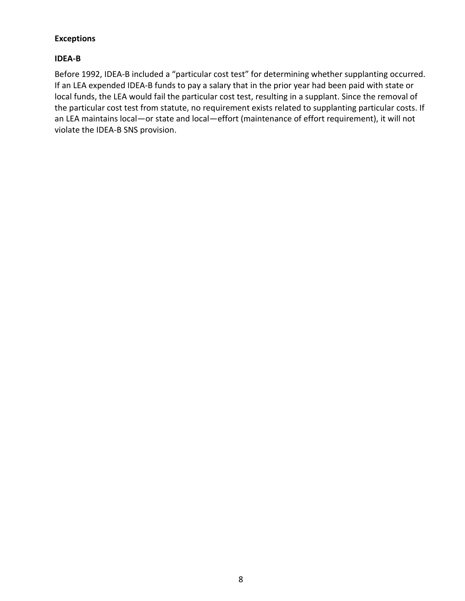#### <span id="page-10-0"></span>**Exceptions**

#### <span id="page-10-1"></span>**IDEA-B**

Before 1992, IDEA-B included a "particular cost test" for determining whether supplanting occurred. If an LEA expended IDEA-B funds to pay a salary that in the prior year had been paid with state or local funds, the LEA would fail the particular cost test, resulting in a supplant. Since the removal of the particular cost test from statute, no requirement exists related to supplanting particular costs. If an LEA maintains local—or state and local—effort (maintenance of effort requirement), it will not violate the IDEA-B SNS provision.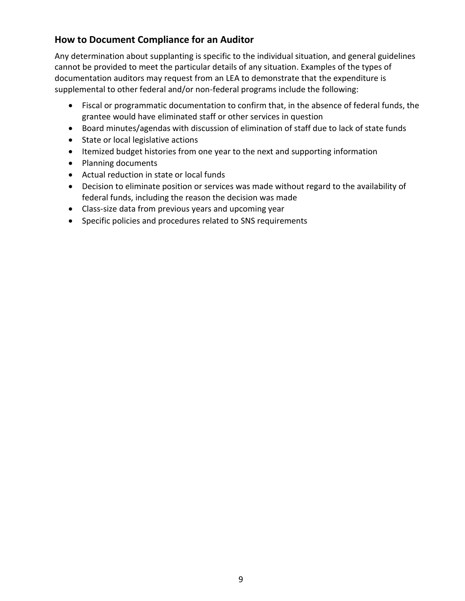# **How to Document Compliance for an Auditor**

Any determination about supplanting is specific to the individual situation, and general guidelines cannot be provided to meet the particular details of any situation. Examples of the types of documentation auditors may request from an LEA to demonstrate that the expenditure is supplemental to other federal and/or non-federal programs include the following:

- Fiscal or programmatic documentation to confirm that, in the absence of federal funds, the grantee would have eliminated staff or other services in question
- Board minutes/agendas with discussion of elimination of staff due to lack of state funds
- State or local legislative actions
- Itemized budget histories from one year to the next and supporting information
- Planning documents
- Actual reduction in state or local funds
- Decision to eliminate position or services was made without regard to the availability of federal funds, including the reason the decision was made
- Class-size data from previous years and upcoming year
- Specific policies and procedures related to SNS requirements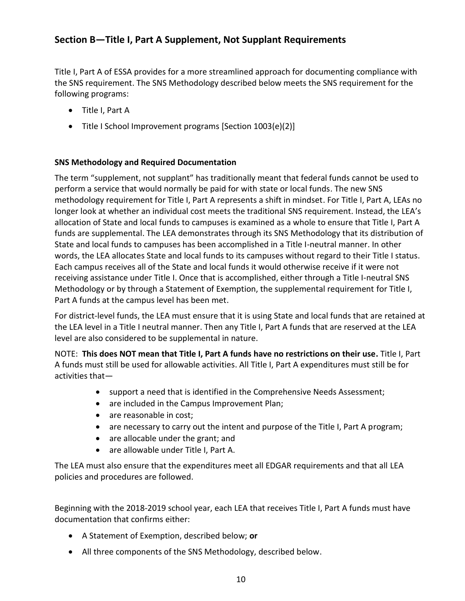# <span id="page-12-0"></span>**Section B—Title I, Part A Supplement, Not Supplant Requirements**

Title I, Part A of ESSA provides for a more streamlined approach for documenting compliance with the SNS requirement. The SNS Methodology described below meets the SNS requirement for the following programs:

- Title I, Part A
- Title I School Improvement programs [Section 1003(e)(2)]

#### <span id="page-12-1"></span>**SNS Methodology and Required Documentation**

The term "supplement, not supplant" has traditionally meant that federal funds cannot be used to perform a service that would normally be paid for with state or local funds. The new SNS methodology requirement for Title I, Part A represents a shift in mindset. For Title I, Part A, LEAs no longer look at whether an individual cost meets the traditional SNS requirement. Instead, the LEA's allocation of State and local funds to campuses is examined as a whole to ensure that Title I, Part A funds are supplemental. The LEA demonstrates through its SNS Methodology that its distribution of State and local funds to campuses has been accomplished in a Title I-neutral manner. In other words, the LEA allocates State and local funds to its campuses without regard to their Title I status. Each campus receives all of the State and local funds it would otherwise receive if it were not receiving assistance under Title I. Once that is accomplished, either through a Title I-neutral SNS Methodology or by through a Statement of Exemption, the supplemental requirement for Title I, Part A funds at the campus level has been met.

For district-level funds, the LEA must ensure that it is using State and local funds that are retained at the LEA level in a Title I neutral manner. Then any Title I, Part A funds that are reserved at the LEA level are also considered to be supplemental in nature.

NOTE: **This does NOT mean that Title I, Part A funds have no restrictions on their use.** Title I, Part A funds must still be used for allowable activities. All Title I, Part A expenditures must still be for activities that—

- support a need that is identified in the Comprehensive Needs Assessment;
- are included in the Campus Improvement Plan;
- are reasonable in cost:
- are necessary to carry out the intent and purpose of the Title I, Part A program;
- are allocable under the grant; and
- are allowable under Title I, Part A.

The LEA must also ensure that the expenditures meet all EDGAR requirements and that all LEA policies and procedures are followed.

Beginning with the 2018-2019 school year, each LEA that receives Title I, Part A funds must have documentation that confirms either:

- A Statement of Exemption, described below; **or**
- All three components of the SNS Methodology, described below.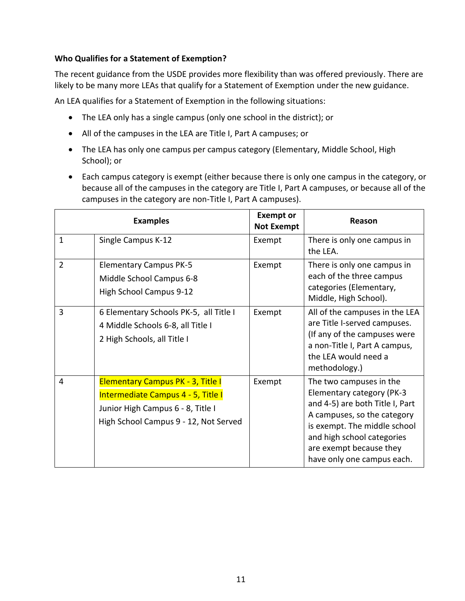#### <span id="page-13-0"></span>**Who Qualifies for a Statement of Exemption?**

The recent guidance from the USDE provides more flexibility than was offered previously. There are likely to be many more LEAs that qualify for a Statement of Exemption under the new guidance.

An LEA qualifies for a Statement of Exemption in the following situations:

- The LEA only has a single campus (only one school in the district); or
- All of the campuses in the LEA are Title I, Part A campuses; or
- The LEA has only one campus per campus category (Elementary, Middle School, High School); or
- Each campus category is exempt (either because there is only one campus in the category, or because all of the campuses in the category are Title I, Part A campuses, or because all of the campuses in the category are non-Title I, Part A campuses).

|                | <b>Examples</b>                                                                                                                                              | <b>Exempt or</b><br><b>Not Exempt</b> | Reason                                                                                                                                                                                                                                        |  |
|----------------|--------------------------------------------------------------------------------------------------------------------------------------------------------------|---------------------------------------|-----------------------------------------------------------------------------------------------------------------------------------------------------------------------------------------------------------------------------------------------|--|
| $\mathbf{1}$   | Single Campus K-12                                                                                                                                           | Exempt                                | There is only one campus in<br>the LEA.                                                                                                                                                                                                       |  |
| $\overline{2}$ | <b>Elementary Campus PK-5</b><br>Middle School Campus 6-8<br>High School Campus 9-12                                                                         | Exempt                                | There is only one campus in<br>each of the three campus<br>categories (Elementary,<br>Middle, High School).                                                                                                                                   |  |
| 3              | 6 Elementary Schools PK-5, all Title I<br>4 Middle Schools 6-8, all Title I<br>2 High Schools, all Title I                                                   | Exempt                                | All of the campuses in the LEA<br>are Title I-served campuses.<br>(If any of the campuses were<br>a non-Title I, Part A campus,<br>the LEA would need a<br>methodology.)                                                                      |  |
| 4              | <b>Elementary Campus PK - 3, Title I</b><br>Intermediate Campus 4 - 5, Title I<br>Junior High Campus 6 - 8, Title I<br>High School Campus 9 - 12, Not Served | Exempt                                | The two campuses in the<br>Elementary category (PK-3<br>and 4-5) are both Title I, Part<br>A campuses, so the category<br>is exempt. The middle school<br>and high school categories<br>are exempt because they<br>have only one campus each. |  |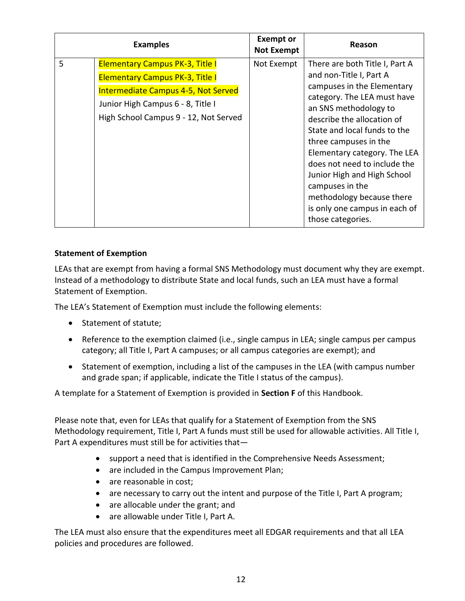|   | <b>Examples</b>                                                                                                                                                                                       | <b>Exempt or</b><br><b>Not Exempt</b> | Reason                                                                                                                                                                                                                                                                                                                                                                                                                                      |  |
|---|-------------------------------------------------------------------------------------------------------------------------------------------------------------------------------------------------------|---------------------------------------|---------------------------------------------------------------------------------------------------------------------------------------------------------------------------------------------------------------------------------------------------------------------------------------------------------------------------------------------------------------------------------------------------------------------------------------------|--|
| 5 | <b>Elementary Campus PK-3, Title I</b><br><b>Elementary Campus PK-3, Title I</b><br>Intermediate Campus 4-5, Not Served<br>Junior High Campus 6 - 8, Title I<br>High School Campus 9 - 12, Not Served | Not Exempt                            | There are both Title I, Part A<br>and non-Title I, Part A<br>campuses in the Elementary<br>category. The LEA must have<br>an SNS methodology to<br>describe the allocation of<br>State and local funds to the<br>three campuses in the<br>Elementary category. The LEA<br>does not need to include the<br>Junior High and High School<br>campuses in the<br>methodology because there<br>is only one campus in each of<br>those categories. |  |

#### <span id="page-14-0"></span>**Statement of Exemption**

LEAs that are exempt from having a formal SNS Methodology must document why they are exempt. Instead of a methodology to distribute State and local funds, such an LEA must have a formal Statement of Exemption.

The LEA's Statement of Exemption must include the following elements:

- Statement of statute;
- Reference to the exemption claimed (i.e., single campus in LEA; single campus per campus category; all Title I, Part A campuses; or all campus categories are exempt); and
- Statement of exemption, including a list of the campuses in the LEA (with campus number and grade span; if applicable, indicate the Title I status of the campus).

A template for a Statement of Exemption is provided in **Section F** of this Handbook.

Please note that, even for LEAs that qualify for a Statement of Exemption from the SNS Methodology requirement, Title I, Part A funds must still be used for allowable activities. All Title I, Part A expenditures must still be for activities that—

- support a need that is identified in the Comprehensive Needs Assessment;
- are included in the Campus Improvement Plan;
- are reasonable in cost;
- are necessary to carry out the intent and purpose of the Title I, Part A program;
- are allocable under the grant; and
- are allowable under Title I, Part A.

The LEA must also ensure that the expenditures meet all EDGAR requirements and that all LEA policies and procedures are followed.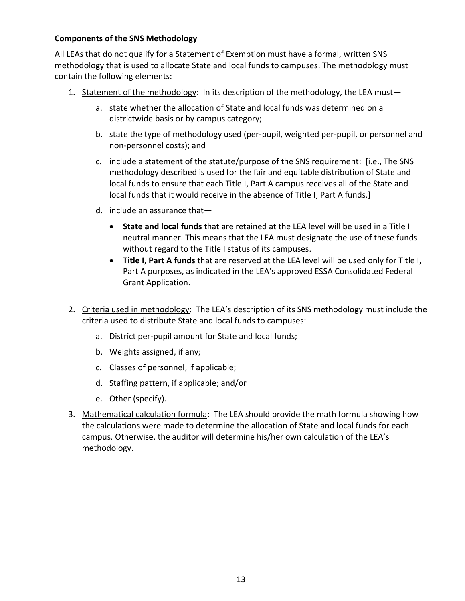#### <span id="page-15-0"></span>**Components of the SNS Methodology**

All LEAs that do not qualify for a Statement of Exemption must have a formal, written SNS methodology that is used to allocate State and local funds to campuses. The methodology must contain the following elements:

- 1. Statement of the methodology: In its description of the methodology, the LEA must
	- a. state whether the allocation of State and local funds was determined on a districtwide basis or by campus category;
	- b. state the type of methodology used (per-pupil, weighted per-pupil, or personnel and non-personnel costs); and
	- c. include a statement of the statute/purpose of the SNS requirement: [i.e., The SNS methodology described is used for the fair and equitable distribution of State and local funds to ensure that each Title I, Part A campus receives all of the State and local funds that it would receive in the absence of Title I, Part A funds.]
	- d. include an assurance that—
		- **State and local funds** that are retained at the LEA level will be used in a Title I neutral manner. This means that the LEA must designate the use of these funds without regard to the Title I status of its campuses.
		- **Title I, Part A funds** that are reserved at the LEA level will be used only for Title I, Part A purposes, as indicated in the LEA's approved ESSA Consolidated Federal Grant Application.
- 2. Criteria used in methodology: The LEA's description of its SNS methodology must include the criteria used to distribute State and local funds to campuses:
	- a. District per-pupil amount for State and local funds;
	- b. Weights assigned, if any;
	- c. Classes of personnel, if applicable;
	- d. Staffing pattern, if applicable; and/or
	- e. Other (specify).
- 3. Mathematical calculation formula: The LEA should provide the math formula showing how the calculations were made to determine the allocation of State and local funds for each campus. Otherwise, the auditor will determine his/her own calculation of the LEA's methodology.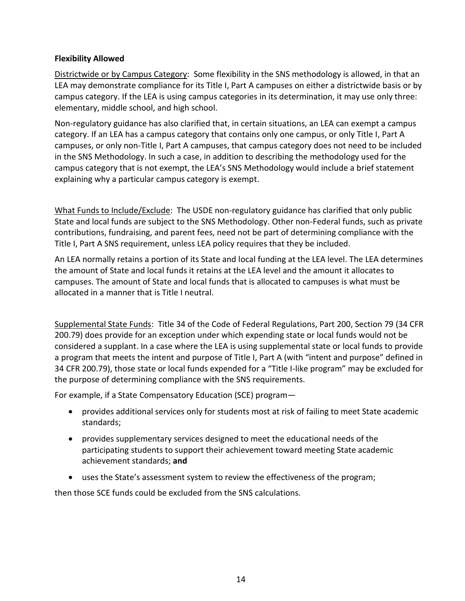#### <span id="page-16-0"></span>**Flexibility Allowed**

Districtwide or by Campus Category: Some flexibility in the SNS methodology is allowed, in that an LEA may demonstrate compliance for its Title I, Part A campuses on either a districtwide basis or by campus category. If the LEA is using campus categories in its determination, it may use only three: elementary, middle school, and high school.

Non-regulatory guidance has also clarified that, in certain situations, an LEA can exempt a campus category. If an LEA has a campus category that contains only one campus, or only Title I, Part A campuses, or only non-Title I, Part A campuses, that campus category does not need to be included in the SNS Methodology. In such a case, in addition to describing the methodology used for the campus category that is not exempt, the LEA's SNS Methodology would include a brief statement explaining why a particular campus category is exempt.

What Funds to Include/Exclude: The USDE non-regulatory guidance has clarified that only public State and local funds are subject to the SNS Methodology. Other non-Federal funds, such as private contributions, fundraising, and parent fees, need not be part of determining compliance with the Title I, Part A SNS requirement, unless LEA policy requires that they be included.

An LEA normally retains a portion of its State and local funding at the LEA level. The LEA determines the amount of State and local funds it retains at the LEA level and the amount it allocates to campuses. The amount of State and local funds that is allocated to campuses is what must be allocated in a manner that is Title I neutral.

Supplemental State Funds: Title 34 of the Code of Federal Regulations, Part 200, Section 79 (34 CFR 200.79) does provide for an exception under which expending state or local funds would not be considered a supplant. In a case where the LEA is using supplemental state or local funds to provide a program that meets the intent and purpose of Title I, Part A (with "intent and purpose" defined in 34 CFR 200.79), those state or local funds expended for a "Title I-like program" may be excluded for the purpose of determining compliance with the SNS requirements.

For example, if a State Compensatory Education (SCE) program—

- provides additional services only for students most at risk of failing to meet State academic standards;
- provides supplementary services designed to meet the educational needs of the participating students to support their achievement toward meeting State academic achievement standards; **and**
- uses the State's assessment system to review the effectiveness of the program;

then those SCE funds could be excluded from the SNS calculations.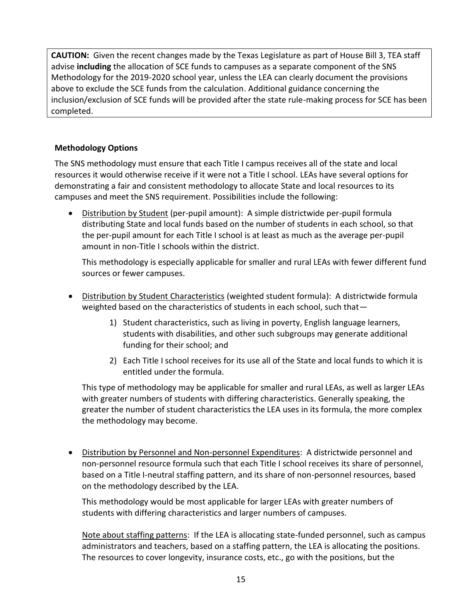**CAUTION:** Given the recent changes made by the Texas Legislature as part of House Bill 3, TEA staff advise **including** the allocation of SCE funds to campuses as a separate component of the SNS Methodology for the 2019-2020 school year, unless the LEA can clearly document the provisions above to exclude the SCE funds from the calculation. Additional guidance concerning the inclusion/exclusion of SCE funds will be provided after the state rule-making process for SCE has been completed.

#### <span id="page-17-0"></span>**Methodology Options**

The SNS methodology must ensure that each Title I campus receives all of the state and local resources it would otherwise receive if it were not a Title I school. LEAs have several options for demonstrating a fair and consistent methodology to allocate State and local resources to its campuses and meet the SNS requirement. Possibilities include the following:

• Distribution by Student (per-pupil amount): A simple districtwide per-pupil formula distributing State and local funds based on the number of students in each school, so that the per-pupil amount for each Title I school is at least as much as the average per-pupil amount in non-Title I schools within the district.

This methodology is especially applicable for smaller and rural LEAs with fewer different fund sources or fewer campuses.

- Distribution by Student Characteristics (weighted student formula): A districtwide formula weighted based on the characteristics of students in each school, such that—
	- 1) Student characteristics, such as living in poverty, English language learners, students with disabilities, and other such subgroups may generate additional funding for their school; and
	- 2) Each Title I school receives for its use all of the State and local funds to which it is entitled under the formula.

This type of methodology may be applicable for smaller and rural LEAs, as well as larger LEAs with greater numbers of students with differing characteristics. Generally speaking, the greater the number of student characteristics the LEA uses in its formula, the more complex the methodology may become.

• Distribution by Personnel and Non-personnel Expenditures: A districtwide personnel and non-personnel resource formula such that each Title I school receives its share of personnel, based on a Title I-neutral staffing pattern, and its share of non-personnel resources, based on the methodology described by the LEA.

This methodology would be most applicable for larger LEAs with greater numbers of students with differing characteristics and larger numbers of campuses.

Note about staffing patterns: If the LEA is allocating state-funded personnel, such as campus administrators and teachers, based on a staffing pattern, the LEA is allocating the positions. The resources to cover longevity, insurance costs, etc., go with the positions, but the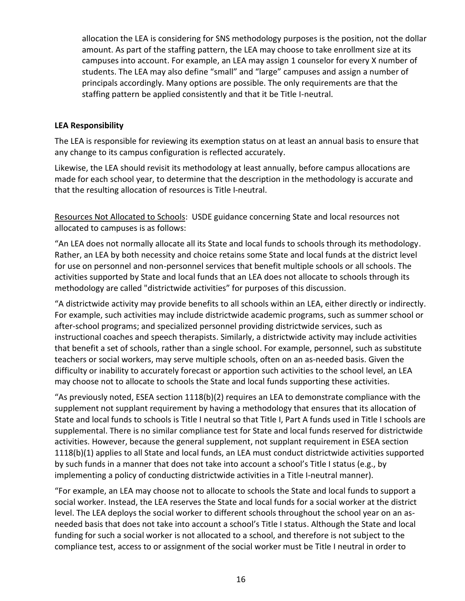allocation the LEA is considering for SNS methodology purposes is the position, not the dollar amount. As part of the staffing pattern, the LEA may choose to take enrollment size at its campuses into account. For example, an LEA may assign 1 counselor for every X number of students. The LEA may also define "small" and "large" campuses and assign a number of principals accordingly. Many options are possible. The only requirements are that the staffing pattern be applied consistently and that it be Title I-neutral.

#### <span id="page-18-0"></span>**LEA Responsibility**

The LEA is responsible for reviewing its exemption status on at least an annual basis to ensure that any change to its campus configuration is reflected accurately.

Likewise, the LEA should revisit its methodology at least annually, before campus allocations are made for each school year, to determine that the description in the methodology is accurate and that the resulting allocation of resources is Title I-neutral.

Resources Not Allocated to Schools: USDE guidance concerning State and local resources not allocated to campuses is as follows:

"An LEA does not normally allocate all its State and local funds to schools through its methodology. Rather, an LEA by both necessity and choice retains some State and local funds at the district level for use on personnel and non-personnel services that benefit multiple schools or all schools. The activities supported by State and local funds that an LEA does not allocate to schools through its methodology are called "districtwide activities" for purposes of this discussion.

"A districtwide activity may provide benefits to all schools within an LEA, either directly or indirectly. For example, such activities may include districtwide academic programs, such as summer school or after-school programs; and specialized personnel providing districtwide services, such as instructional coaches and speech therapists. Similarly, a districtwide activity may include activities that benefit a set of schools, rather than a single school. For example, personnel, such as substitute teachers or social workers, may serve multiple schools, often on an as-needed basis. Given the difficulty or inability to accurately forecast or apportion such activities to the school level, an LEA may choose not to allocate to schools the State and local funds supporting these activities.

"As previously noted, ESEA section 1118(b)(2) requires an LEA to demonstrate compliance with the supplement not supplant requirement by having a methodology that ensures that its allocation of State and local funds to schools is Title I neutral so that Title I, Part A funds used in Title I schools are supplemental. There is no similar compliance test for State and local funds reserved for districtwide activities. However, because the general supplement, not supplant requirement in ESEA section 1118(b)(1) applies to all State and local funds, an LEA must conduct districtwide activities supported by such funds in a manner that does not take into account a school's Title I status (e.g., by implementing a policy of conducting districtwide activities in a Title I-neutral manner).

"For example, an LEA may choose not to allocate to schools the State and local funds to support a social worker. Instead, the LEA reserves the State and local funds for a social worker at the district level. The LEA deploys the social worker to different schools throughout the school year on an asneeded basis that does not take into account a school's Title I status. Although the State and local funding for such a social worker is not allocated to a school, and therefore is not subject to the compliance test, access to or assignment of the social worker must be Title I neutral in order to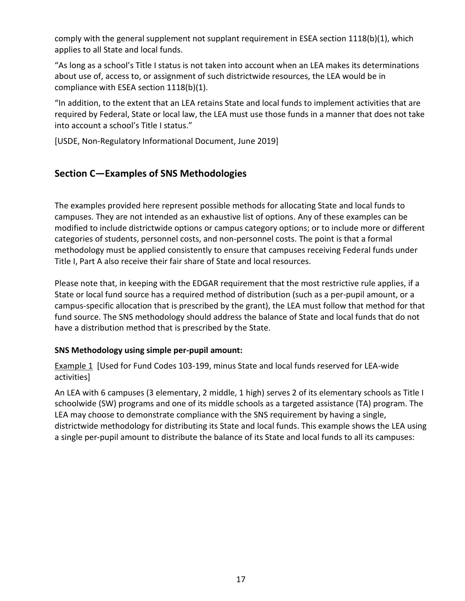comply with the general supplement not supplant requirement in ESEA section 1118(b)(1), which applies to all State and local funds.

"As long as a school's Title I status is not taken into account when an LEA makes its determinations about use of, access to, or assignment of such districtwide resources, the LEA would be in compliance with ESEA section 1118(b)(1).

"In addition, to the extent that an LEA retains State and local funds to implement activities that are required by Federal, State or local law, the LEA must use those funds in a manner that does not take into account a school's Title I status."

[USDE, Non-Regulatory Informational Document, June 2019]

# <span id="page-19-0"></span>**Section C—Examples of SNS Methodologies**

The examples provided here represent possible methods for allocating State and local funds to campuses. They are not intended as an exhaustive list of options. Any of these examples can be modified to include districtwide options or campus category options; or to include more or different categories of students, personnel costs, and non-personnel costs. The point is that a formal methodology must be applied consistently to ensure that campuses receiving Federal funds under Title I, Part A also receive their fair share of State and local resources.

Please note that, in keeping with the EDGAR requirement that the most restrictive rule applies, if a State or local fund source has a required method of distribution (such as a per-pupil amount, or a campus-specific allocation that is prescribed by the grant), the LEA must follow that method for that fund source. The SNS methodology should address the balance of State and local funds that do not have a distribution method that is prescribed by the State.

#### **SNS Methodology using simple per-pupil amount:**

Example 1 [Used for Fund Codes 103-199, minus State and local funds reserved for LEA-wide activities]

An LEA with 6 campuses (3 elementary, 2 middle, 1 high) serves 2 of its elementary schools as Title I schoolwide (SW) programs and one of its middle schools as a targeted assistance (TA) program. The LEA may choose to demonstrate compliance with the SNS requirement by having a single, districtwide methodology for distributing its State and local funds. This example shows the LEA using a single per-pupil amount to distribute the balance of its State and local funds to all its campuses: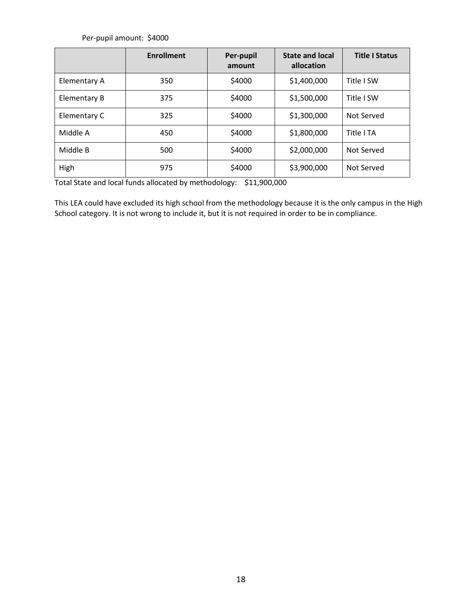Per-pupil amount: \$4000

|              | <b>Enrollment</b> | Per-pupil<br>amount | <b>State and local</b><br>allocation | <b>Title I Status</b> |
|--------------|-------------------|---------------------|--------------------------------------|-----------------------|
| Elementary A | 350               | \$4000              | \$1,400,000                          | Title I SW            |
| Elementary B | 375               | \$4000              | \$1,500,000                          | Title I SW            |
| Elementary C | 325               | \$4000              | \$1,300,000                          | Not Served            |
| Middle A     | 450               | \$4000              | \$1,800,000                          | Title I TA            |
| Middle B     | 500               | \$4000              | \$2,000,000                          | Not Served            |
| High         | 975               | \$4000              | \$3,900,000                          | Not Served            |

Total State and local funds allocated by methodology: \$11,900,000

This LEA could have excluded its high school from the methodology because it is the only campus in the High School category. It is not wrong to include it, but it is not required in order to be in compliance.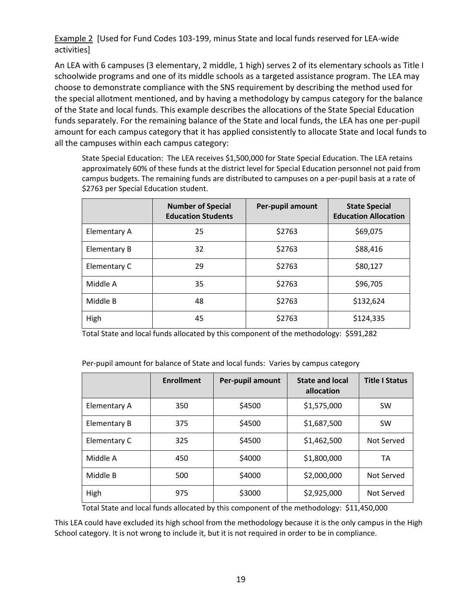Example 2 [Used for Fund Codes 103-199, minus State and local funds reserved for LEA-wide activities]

An LEA with 6 campuses (3 elementary, 2 middle, 1 high) serves 2 of its elementary schools as Title I schoolwide programs and one of its middle schools as a targeted assistance program. The LEA may choose to demonstrate compliance with the SNS requirement by describing the method used for the special allotment mentioned, and by having a methodology by campus category for the balance of the State and local funds. This example describes the allocations of the State Special Education funds separately. For the remaining balance of the State and local funds, the LEA has one per-pupil amount for each campus category that it has applied consistently to allocate State and local funds to all the campuses within each campus category:

State Special Education: The LEA receives \$1,500,000 for State Special Education. The LEA retains approximately 60% of these funds at the district level for Special Education personnel not paid from campus budgets. The remaining funds are distributed to campuses on a per-pupil basis at a rate of \$2763 per Special Education student.

|              | <b>Number of Special</b><br><b>Education Students</b> | Per-pupil amount | <b>State Special</b><br><b>Education Allocation</b> |
|--------------|-------------------------------------------------------|------------------|-----------------------------------------------------|
| Elementary A | 25                                                    | \$2763           | \$69,075                                            |
| Elementary B | 32                                                    | \$2763           | \$88,416                                            |
| Elementary C | 29                                                    | \$2763           | \$80,127                                            |
| Middle A     | 35                                                    | \$2763           | \$96,705                                            |
| Middle B     | 48                                                    | \$2763           | \$132,624                                           |
| High         | 45                                                    | \$2763           | \$124,335                                           |

Total State and local funds allocated by this component of the methodology: \$591,282

Per-pupil amount for balance of State and local funds: Varies by campus category

|                     | <b>Enrollment</b> | Per-pupil amount | <b>State and local</b><br>allocation | <b>Title I Status</b> |
|---------------------|-------------------|------------------|--------------------------------------|-----------------------|
| Elementary A        | 350               | \$4500           | \$1,575,000                          | <b>SW</b>             |
| <b>Elementary B</b> | 375               | \$4500           | \$1,687,500                          | <b>SW</b>             |
| Elementary C        | 325               | \$4500           | \$1,462,500                          | Not Served            |
| Middle A            | 450               | \$4000           | \$1,800,000                          | TA                    |
| Middle B            | 500               | \$4000           | \$2,000,000                          | Not Served            |
| High                | 975               | \$3000           | \$2,925,000                          | Not Served            |

Total State and local funds allocated by this component of the methodology: \$11,450,000

This LEA could have excluded its high school from the methodology because it is the only campus in the High School category. It is not wrong to include it, but it is not required in order to be in compliance.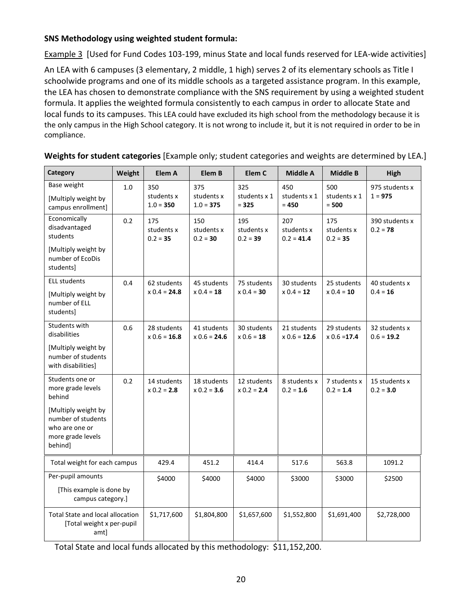#### **SNS Methodology using weighted student formula:**

Example 3 [Used for Fund Codes 103-199, minus State and local funds reserved for LEA-wide activities]

An LEA with 6 campuses (3 elementary, 2 middle, 1 high) serves 2 of its elementary schools as Title I schoolwide programs and one of its middle schools as a targeted assistance program. In this example, the LEA has chosen to demonstrate compliance with the SNS requirement by using a weighted student formula. It applies the weighted formula consistently to each campus in order to allocate State and local funds to its campuses. This LEA could have excluded its high school from the methodology because it is the only campus in the High School category. It is not wrong to include it, but it is not required in order to be in compliance.

| Category                                                                                    | Weight | Elem A                           | Elem B                           | Elem C                          | <b>Middle A</b>                   | <b>Middle B</b>                 | <b>High</b>                   |
|---------------------------------------------------------------------------------------------|--------|----------------------------------|----------------------------------|---------------------------------|-----------------------------------|---------------------------------|-------------------------------|
| Base weight<br>[Multiply weight by<br>campus enrollment]                                    | 1.0    | 350<br>students x<br>$1.0 = 350$ | 375<br>students x<br>$1.0 = 375$ | 325<br>students x 1<br>$= 325$  | 450<br>students x 1<br>$= 450$    | 500<br>students x 1<br>$= 500$  | 975 students x<br>$1 = 975$   |
| Economically<br>disadvantaged<br>students                                                   | 0.2    | 175<br>students x<br>$0.2 = 35$  | 150<br>students x<br>$0.2 = 30$  | 195<br>students x<br>$0.2 = 39$ | 207<br>students x<br>$0.2 = 41.4$ | 175<br>students x<br>$0.2 = 35$ | 390 students x<br>$0.2 = 78$  |
| [Multiply weight by<br>number of EcoDis<br>studentsl                                        |        |                                  |                                  |                                 |                                   |                                 |                               |
| <b>ELL students</b><br>[Multiply weight by<br>number of ELL<br>students]                    | 0.4    | 62 students<br>$x 0.4 = 24.8$    | 45 students<br>$x 0.4 = 18$      | 75 students<br>$x 0.4 = 30$     | 30 students<br>$x 0.4 = 12$       | 25 students<br>$x 0.4 = 10$     | 40 students x<br>$0.4 = 16$   |
| Students with<br>disabilities                                                               | 0.6    | 28 students<br>$x 0.6 = 16.8$    | 41 students<br>$x 0.6 = 24.6$    | 30 students<br>$x 0.6 = 18$     | 21 students<br>$x 0.6 = 12.6$     | 29 students<br>$x 0.6 = 17.4$   | 32 students x<br>$0.6 = 19.2$ |
| [Multiply weight by<br>number of students<br>with disabilities]                             |        |                                  |                                  |                                 |                                   |                                 |                               |
| Students one or<br>more grade levels<br>behind                                              | 0.2    | 14 students<br>$x 0.2 = 2.8$     | 18 students<br>$x 0.2 = 3.6$     | 12 students<br>$x 0.2 = 2.4$    | 8 students x<br>$0.2 = 1.6$       | 7 students x<br>$0.2 = 1.4$     | 15 students x<br>$0.2 = 3.0$  |
| [Multiply weight by<br>number of students<br>who are one or<br>more grade levels<br>behind] |        |                                  |                                  |                                 |                                   |                                 |                               |
| Total weight for each campus                                                                |        | 429.4                            | 451.2                            | 414.4                           | 517.6                             | 563.8                           | 1091.2                        |
| Per-pupil amounts<br>[This example is done by<br>campus category.]                          |        | \$4000                           | \$4000                           | \$4000                          | \$3000                            | \$3000                          | \$2500                        |
| Total State and local allocation<br>[Total weight x per-pupil<br>amt]                       |        | \$1,717,600                      | \$1,804,800                      | \$1,657,600                     | \$1,552,800                       | \$1,691,400                     | \$2,728,000                   |

#### **Weights for student categories** [Example only; student categories and weights are determined by LEA.]

Total State and local funds allocated by this methodology: \$11,152,200.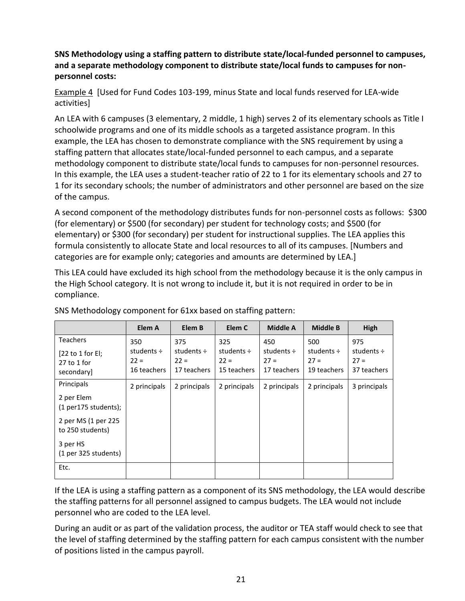**SNS Methodology using a staffing pattern to distribute state/local-funded personnel to campuses, and a separate methodology component to distribute state/local funds to campuses for nonpersonnel costs:**

Example 4 [Used for Fund Codes 103-199, minus State and local funds reserved for LEA-wide activities]

An LEA with 6 campuses (3 elementary, 2 middle, 1 high) serves 2 of its elementary schools as Title I schoolwide programs and one of its middle schools as a targeted assistance program. In this example, the LEA has chosen to demonstrate compliance with the SNS requirement by using a staffing pattern that allocates state/local-funded personnel to each campus, and a separate methodology component to distribute state/local funds to campuses for non-personnel resources. In this example, the LEA uses a student-teacher ratio of 22 to 1 for its elementary schools and 27 to 1 for its secondary schools; the number of administrators and other personnel are based on the size of the campus.

A second component of the methodology distributes funds for non-personnel costs as follows: \$300 (for elementary) or \$500 (for secondary) per student for technology costs; and \$500 (for elementary) or \$300 (for secondary) per student for instructional supplies. The LEA applies this formula consistently to allocate State and local resources to all of its campuses. [Numbers and categories are for example only; categories and amounts are determined by LEA.]

This LEA could have excluded its high school from the methodology because it is the only campus in the High School category. It is not wrong to include it, but it is not required in order to be in compliance.

|                                                                             | Elem A                                          | Elem B                                          | Elem C                                          | Middle A                                        | <b>Middle B</b>                                 | High                                            |
|-----------------------------------------------------------------------------|-------------------------------------------------|-------------------------------------------------|-------------------------------------------------|-------------------------------------------------|-------------------------------------------------|-------------------------------------------------|
| <b>Teachers</b><br>[22 to 1 for El;<br>$27$ to 1 for<br>secondary]          | 350<br>students $\div$<br>$22 =$<br>16 teachers | 375<br>students $\div$<br>$22 =$<br>17 teachers | 325<br>students $\div$<br>$22 =$<br>15 teachers | 450<br>students $\div$<br>$27 =$<br>17 teachers | 500<br>students $\div$<br>$27 =$<br>19 teachers | 975<br>students $\div$<br>$27 =$<br>37 teachers |
| Principals<br>2 per Elem<br>$(1$ per175 students);                          | 2 principals                                    | 2 principals                                    | 2 principals                                    | 2 principals                                    | 2 principals                                    | 3 principals                                    |
| 2 per MS (1 per 225<br>to 250 students)<br>3 per HS<br>(1 per 325 students) |                                                 |                                                 |                                                 |                                                 |                                                 |                                                 |
| Etc.                                                                        |                                                 |                                                 |                                                 |                                                 |                                                 |                                                 |

SNS Methodology component for 61xx based on staffing pattern:

If the LEA is using a staffing pattern as a component of its SNS methodology, the LEA would describe the staffing patterns for all personnel assigned to campus budgets. The LEA would not include personnel who are coded to the LEA level.

During an audit or as part of the validation process, the auditor or TEA staff would check to see that the level of staffing determined by the staffing pattern for each campus consistent with the number of positions listed in the campus payroll.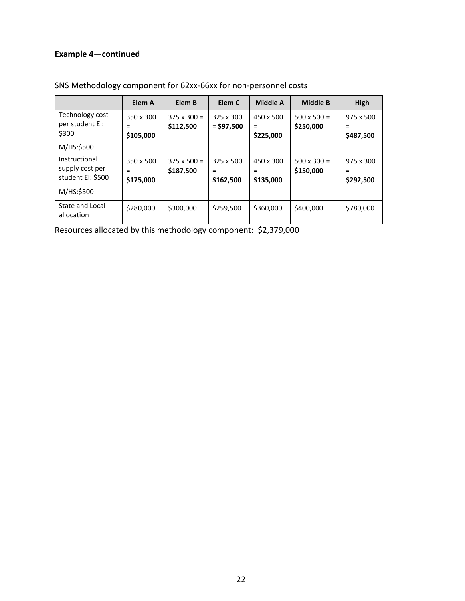#### **Example 4—continued**

|                                                                     | Elem A                      | Elem B                          | Elem C                             | Middle A                    | <b>Middle B</b>                 | <b>High</b>                          |
|---------------------------------------------------------------------|-----------------------------|---------------------------------|------------------------------------|-----------------------------|---------------------------------|--------------------------------------|
| Technology cost<br>per student El:<br>\$300<br>M/HS:\$500           | 350 x 300<br>=<br>\$105,000 | $375 \times 300 =$<br>\$112,500 | 325 x 300<br>$=$ \$97,500          | 450 x 500<br>=<br>\$225,000 | $500 \times 500 =$<br>\$250,000 | 975 x 500<br>\$487,500               |
| Instructional<br>supply cost per<br>student El: \$500<br>M/HS:\$300 | 350 x 500<br>=<br>\$175,000 | $375 \times 500 =$<br>\$187,500 | $325 \times 500$<br>=<br>\$162,500 | 450 x 300<br>\$135,000      | $500 \times 300 =$<br>\$150,000 | $975 \times 300$<br>$=$<br>\$292,500 |
| State and Local<br>allocation                                       | \$280,000                   | \$300,000                       | \$259,500                          | \$360,000                   | \$400,000                       | \$780,000                            |

SNS Methodology component for 62xx-66xx for non-personnel costs

Resources allocated by this methodology component: \$2,379,000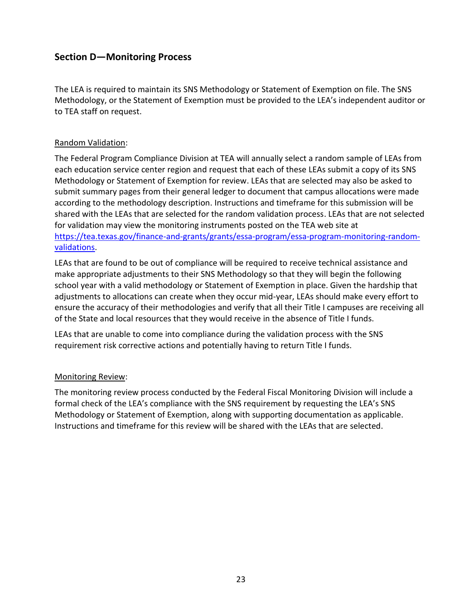## <span id="page-25-0"></span>**Section D—Monitoring Process**

The LEA is required to maintain its SNS Methodology or Statement of Exemption on file. The SNS Methodology, or the Statement of Exemption must be provided to the LEA's independent auditor or to TEA staff on request.

#### Random Validation:

The Federal Program Compliance Division at TEA will annually select a random sample of LEAs from each education service center region and request that each of these LEAs submit a copy of its SNS Methodology or Statement of Exemption for review. LEAs that are selected may also be asked to submit summary pages from their general ledger to document that campus allocations were made according to the methodology description. Instructions and timeframe for this submission will be shared with the LEAs that are selected for the random validation process. LEAs that are not selected for validation may view the monitoring instruments posted on the TEA web site at [https://tea.texas.gov/finance-and-grants/grants/essa-program/essa-program-monitoring-random](https://tea.texas.gov/finance-and-grants/grants/essa-program/essa-program-monitoring-random-validations)[validations.](https://tea.texas.gov/finance-and-grants/grants/essa-program/essa-program-monitoring-random-validations)

LEAs that are found to be out of compliance will be required to receive technical assistance and make appropriate adjustments to their SNS Methodology so that they will begin the following school year with a valid methodology or Statement of Exemption in place. Given the hardship that adjustments to allocations can create when they occur mid-year, LEAs should make every effort to ensure the accuracy of their methodologies and verify that all their Title I campuses are receiving all of the State and local resources that they would receive in the absence of Title I funds.

LEAs that are unable to come into compliance during the validation process with the SNS requirement risk corrective actions and potentially having to return Title I funds.

#### Monitoring Review:

The monitoring review process conducted by the Federal Fiscal Monitoring Division will include a formal check of the LEA's compliance with the SNS requirement by requesting the LEA's SNS Methodology or Statement of Exemption, along with supporting documentation as applicable. Instructions and timeframe for this review will be shared with the LEAs that are selected.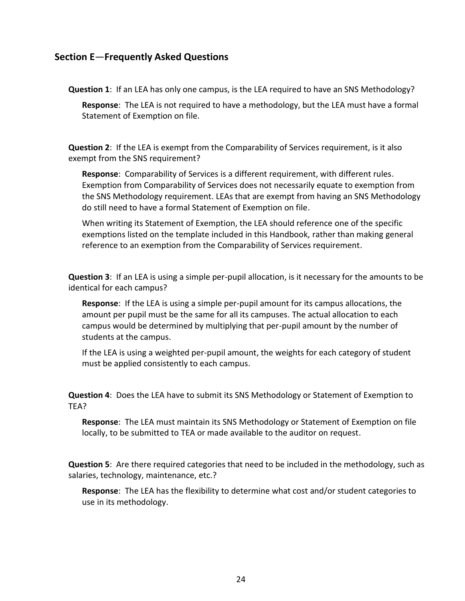#### <span id="page-26-0"></span>**Section E**—**Frequently Asked Questions**

**Question 1**: If an LEA has only one campus, is the LEA required to have an SNS Methodology?

**Response**: The LEA is not required to have a methodology, but the LEA must have a formal Statement of Exemption on file.

**Question 2**: If the LEA is exempt from the Comparability of Services requirement, is it also exempt from the SNS requirement?

**Response**: Comparability of Services is a different requirement, with different rules. Exemption from Comparability of Services does not necessarily equate to exemption from the SNS Methodology requirement. LEAs that are exempt from having an SNS Methodology do still need to have a formal Statement of Exemption on file.

When writing its Statement of Exemption, the LEA should reference one of the specific exemptions listed on the template included in this Handbook, rather than making general reference to an exemption from the Comparability of Services requirement.

**Question 3**: If an LEA is using a simple per-pupil allocation, is it necessary for the amounts to be identical for each campus?

**Response**: If the LEA is using a simple per-pupil amount for its campus allocations, the amount per pupil must be the same for all its campuses. The actual allocation to each campus would be determined by multiplying that per-pupil amount by the number of students at the campus.

If the LEA is using a weighted per-pupil amount, the weights for each category of student must be applied consistently to each campus.

**Question 4**: Does the LEA have to submit its SNS Methodology or Statement of Exemption to TEA?

**Response**: The LEA must maintain its SNS Methodology or Statement of Exemption on file locally, to be submitted to TEA or made available to the auditor on request.

**Question 5**: Are there required categories that need to be included in the methodology, such as salaries, technology, maintenance, etc.?

**Response**: The LEA has the flexibility to determine what cost and/or student categories to use in its methodology.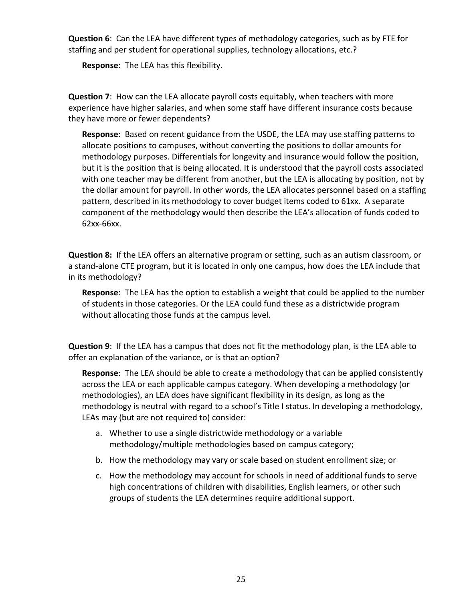**Question 6**: Can the LEA have different types of methodology categories, such as by FTE for staffing and per student for operational supplies, technology allocations, etc.?

**Response**: The LEA has this flexibility.

**Question 7**: How can the LEA allocate payroll costs equitably, when teachers with more experience have higher salaries, and when some staff have different insurance costs because they have more or fewer dependents?

**Response**: Based on recent guidance from the USDE, the LEA may use staffing patterns to allocate positions to campuses, without converting the positions to dollar amounts for methodology purposes. Differentials for longevity and insurance would follow the position, but it is the position that is being allocated. It is understood that the payroll costs associated with one teacher may be different from another, but the LEA is allocating by position, not by the dollar amount for payroll. In other words, the LEA allocates personnel based on a staffing pattern, described in its methodology to cover budget items coded to 61xx. A separate component of the methodology would then describe the LEA's allocation of funds coded to 62xx-66xx.

**Question 8:** If the LEA offers an alternative program or setting, such as an autism classroom, or a stand-alone CTE program, but it is located in only one campus, how does the LEA include that in its methodology?

**Response**: The LEA has the option to establish a weight that could be applied to the number of students in those categories. Or the LEA could fund these as a districtwide program without allocating those funds at the campus level.

**Question 9**: If the LEA has a campus that does not fit the methodology plan, is the LEA able to offer an explanation of the variance, or is that an option?

**Response**: The LEA should be able to create a methodology that can be applied consistently across the LEA or each applicable campus category. When developing a methodology (or methodologies), an LEA does have significant flexibility in its design, as long as the methodology is neutral with regard to a school's Title I status. In developing a methodology, LEAs may (but are not required to) consider:

- a. Whether to use a single districtwide methodology or a variable methodology/multiple methodologies based on campus category;
- b. How the methodology may vary or scale based on student enrollment size; or
- c. How the methodology may account for schools in need of additional funds to serve high concentrations of children with disabilities, English learners, or other such groups of students the LEA determines require additional support.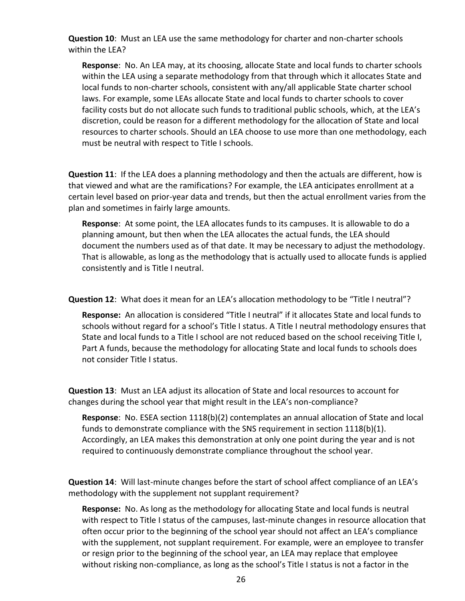**Question 10**: Must an LEA use the same methodology for charter and non-charter schools within the LEA?

**Response**: No. An LEA may, at its choosing, allocate State and local funds to charter schools within the LEA using a separate methodology from that through which it allocates State and local funds to non-charter schools, consistent with any/all applicable State charter school laws. For example, some LEAs allocate State and local funds to charter schools to cover facility costs but do not allocate such funds to traditional public schools, which, at the LEA's discretion, could be reason for a different methodology for the allocation of State and local resources to charter schools. Should an LEA choose to use more than one methodology, each must be neutral with respect to Title I schools.

**Question 11**: If the LEA does a planning methodology and then the actuals are different, how is that viewed and what are the ramifications? For example, the LEA anticipates enrollment at a certain level based on prior-year data and trends, but then the actual enrollment varies from the plan and sometimes in fairly large amounts.

**Response**: At some point, the LEA allocates funds to its campuses. It is allowable to do a planning amount, but then when the LEA allocates the actual funds, the LEA should document the numbers used as of that date. It may be necessary to adjust the methodology. That is allowable, as long as the methodology that is actually used to allocate funds is applied consistently and is Title I neutral.

**Question 12**: What does it mean for an LEA's allocation methodology to be "Title I neutral"?

**Response:** An allocation is considered "Title I neutral" if it allocates State and local funds to schools without regard for a school's Title I status. A Title I neutral methodology ensures that State and local funds to a Title I school are not reduced based on the school receiving Title I, Part A funds, because the methodology for allocating State and local funds to schools does not consider Title I status.

**Question 13**: Must an LEA adjust its allocation of State and local resources to account for changes during the school year that might result in the LEA's non-compliance?

**Response**: No. ESEA section 1118(b)(2) contemplates an annual allocation of State and local funds to demonstrate compliance with the SNS requirement in section 1118(b)(1). Accordingly, an LEA makes this demonstration at only one point during the year and is not required to continuously demonstrate compliance throughout the school year.

**Question 14**: Will last-minute changes before the start of school affect compliance of an LEA's methodology with the supplement not supplant requirement?

**Response:** No. As long as the methodology for allocating State and local funds is neutral with respect to Title I status of the campuses, last-minute changes in resource allocation that often occur prior to the beginning of the school year should not affect an LEA's compliance with the supplement, not supplant requirement. For example, were an employee to transfer or resign prior to the beginning of the school year, an LEA may replace that employee without risking non-compliance, as long as the school's Title I status is not a factor in the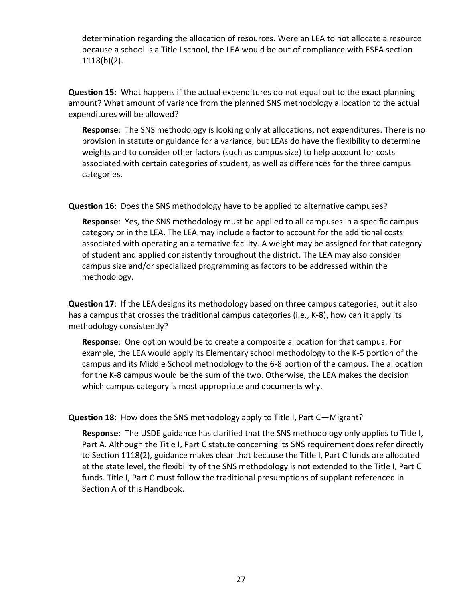determination regarding the allocation of resources. Were an LEA to not allocate a resource because a school is a Title I school, the LEA would be out of compliance with ESEA section 1118(b)(2).

**Question 15**: What happens if the actual expenditures do not equal out to the exact planning amount? What amount of variance from the planned SNS methodology allocation to the actual expenditures will be allowed?

**Response**: The SNS methodology is looking only at allocations, not expenditures. There is no provision in statute or guidance for a variance, but LEAs do have the flexibility to determine weights and to consider other factors (such as campus size) to help account for costs associated with certain categories of student, as well as differences for the three campus categories.

**Question 16**: Does the SNS methodology have to be applied to alternative campuses?

**Response**: Yes, the SNS methodology must be applied to all campuses in a specific campus category or in the LEA. The LEA may include a factor to account for the additional costs associated with operating an alternative facility. A weight may be assigned for that category of student and applied consistently throughout the district. The LEA may also consider campus size and/or specialized programming as factors to be addressed within the methodology.

**Question 17**: If the LEA designs its methodology based on three campus categories, but it also has a campus that crosses the traditional campus categories (i.e., K-8), how can it apply its methodology consistently?

**Response**: One option would be to create a composite allocation for that campus. For example, the LEA would apply its Elementary school methodology to the K-5 portion of the campus and its Middle School methodology to the 6-8 portion of the campus. The allocation for the K-8 campus would be the sum of the two. Otherwise, the LEA makes the decision which campus category is most appropriate and documents why.

#### **Question 18**: How does the SNS methodology apply to Title I, Part C—Migrant?

**Response**: The USDE guidance has clarified that the SNS methodology only applies to Title I, Part A. Although the Title I, Part C statute concerning its SNS requirement does refer directly to Section 1118(2), guidance makes clear that because the Title I, Part C funds are allocated at the state level, the flexibility of the SNS methodology is not extended to the Title I, Part C funds. Title I, Part C must follow the traditional presumptions of supplant referenced in Section A of this Handbook.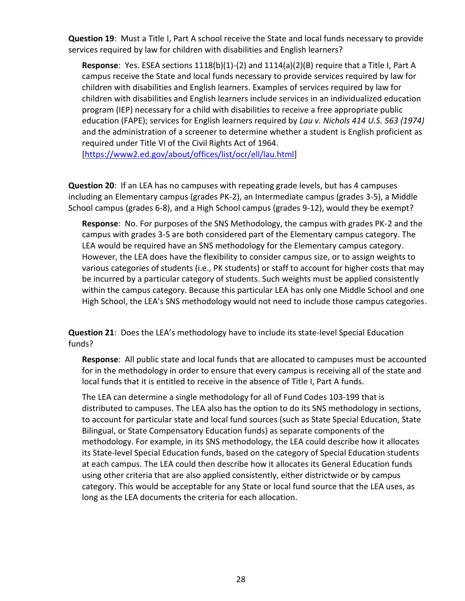**Question 19**: Must a Title I, Part A school receive the State and local funds necessary to provide services required by law for children with disabilities and English learners?

**Response**: Yes. ESEA sections 1118(b)(1)-(2) and 1114(a)(2)(B) require that a Title I, Part A campus receive the State and local funds necessary to provide services required by law for children with disabilities and English learners. Examples of services required by law for children with disabilities and English learners include services in an individualized education program (IEP) necessary for a child with disabilities to receive a free appropriate public education (FAPE); services for English learners required by *Lau v. Nichols 414 U.S. 563 (1974)* and the administration of a screener to determine whether a student is English proficient as required under Title VI of the Civil Rights Act of 1964.

[\[https://www2.ed.gov/about/offices/list/ocr/ell/lau.html\]](https://www2.ed.gov/about/offices/list/ocr/ell/lau.html)

**Question 20**: If an LEA has no campuses with repeating grade levels, but has 4 campuses including an Elementary campus (grades PK-2), an Intermediate campus (grades 3-5), a Middle School campus (grades 6-8), and a High School campus (grades 9-12), would they be exempt?

**Response**: No. For purposes of the SNS Methodology, the campus with grades PK-2 and the campus with grades 3-5 are both considered part of the Elementary campus category. The LEA would be required have an SNS methodology for the Elementary campus category. However, the LEA does have the flexibility to consider campus size, or to assign weights to various categories of students (i.e., PK students) or staff to account for higher costs that may be incurred by a particular category of students. Such weights must be applied consistently within the campus category. Because this particular LEA has only one Middle School and one High School, the LEA's SNS methodology would not need to include those campus categories.

**Question 21**: Does the LEA's methodology have to include its state-level Special Education funds?

**Response**: All public state and local funds that are allocated to campuses must be accounted for in the methodology in order to ensure that every campus is receiving all of the state and local funds that it is entitled to receive in the absence of Title I, Part A funds.

The LEA can determine a single methodology for all of Fund Codes 103-199 that is distributed to campuses. The LEA also has the option to do its SNS methodology in sections, to account for particular state and local fund sources (such as State Special Education, State Bilingual, or State Compensatory Education funds) as separate components of the methodology. For example, in its SNS methodology, the LEA could describe how it allocates its State-level Special Education funds, based on the category of Special Education students at each campus. The LEA could then describe how it allocates its General Education funds using other criteria that are also applied consistently, either districtwide or by campus category. This would be acceptable for any State or local fund source that the LEA uses, as long as the LEA documents the criteria for each allocation.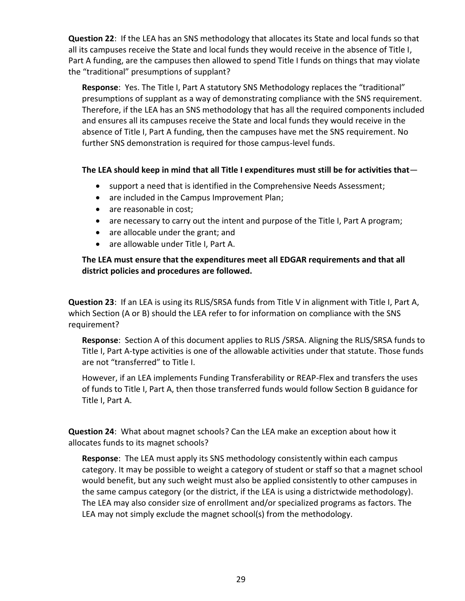**Question 22**: If the LEA has an SNS methodology that allocates its State and local funds so that all its campuses receive the State and local funds they would receive in the absence of Title I, Part A funding, are the campuses then allowed to spend Title I funds on things that may violate the "traditional" presumptions of supplant?

**Response**: Yes. The Title I, Part A statutory SNS Methodology replaces the "traditional" presumptions of supplant as a way of demonstrating compliance with the SNS requirement. Therefore, if the LEA has an SNS methodology that has all the required components included and ensures all its campuses receive the State and local funds they would receive in the absence of Title I, Part A funding, then the campuses have met the SNS requirement. No further SNS demonstration is required for those campus-level funds.

#### **The LEA should keep in mind that all Title I expenditures must still be for activities that**—

- support a need that is identified in the Comprehensive Needs Assessment;
- are included in the Campus Improvement Plan;
- are reasonable in cost;
- are necessary to carry out the intent and purpose of the Title I, Part A program;
- are allocable under the grant; and
- are allowable under Title I, Part A.

#### **The LEA must ensure that the expenditures meet all EDGAR requirements and that all district policies and procedures are followed.**

**Question 23**: If an LEA is using its RLIS/SRSA funds from Title V in alignment with Title I, Part A, which Section (A or B) should the LEA refer to for information on compliance with the SNS requirement?

**Response**: Section A of this document applies to RLIS /SRSA. Aligning the RLIS/SRSA funds to Title I, Part A-type activities is one of the allowable activities under that statute. Those funds are not "transferred" to Title I.

However, if an LEA implements Funding Transferability or REAP-Flex and transfers the uses of funds to Title I, Part A, then those transferred funds would follow Section B guidance for Title I, Part A.

**Question 24**: What about magnet schools? Can the LEA make an exception about how it allocates funds to its magnet schools?

**Response**: The LEA must apply its SNS methodology consistently within each campus category. It may be possible to weight a category of student or staff so that a magnet school would benefit, but any such weight must also be applied consistently to other campuses in the same campus category (or the district, if the LEA is using a districtwide methodology). The LEA may also consider size of enrollment and/or specialized programs as factors. The LEA may not simply exclude the magnet school(s) from the methodology.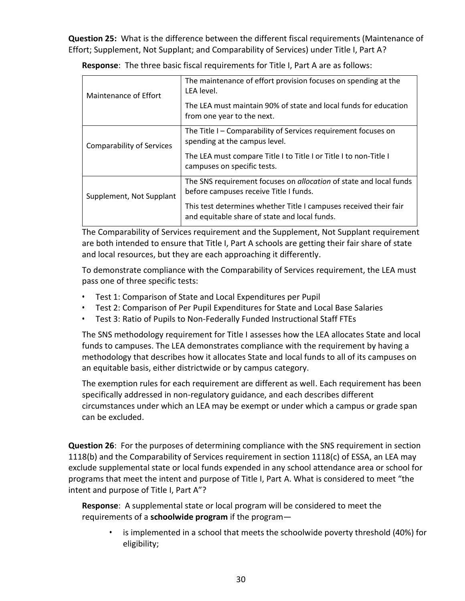**Question 25:** What is the difference between the different fiscal requirements (Maintenance of Effort; Supplement, Not Supplant; and Comparability of Services) under Title I, Part A?

| Maintenance of Effort            | The maintenance of effort provision focuses on spending at the<br>LEA level.<br>The LEA must maintain 90% of state and local funds for education<br>from one year to the next. |
|----------------------------------|--------------------------------------------------------------------------------------------------------------------------------------------------------------------------------|
|                                  |                                                                                                                                                                                |
| <b>Comparability of Services</b> | The Title I – Comparability of Services requirement focuses on<br>spending at the campus level.                                                                                |
|                                  | The LEA must compare Title I to Title I or Title I to non-Title I<br>campuses on specific tests.                                                                               |
| Supplement, Not Supplant         | The SNS requirement focuses on allocation of state and local funds<br>before campuses receive Title I funds.                                                                   |
|                                  | This test determines whether Title I campuses received their fair<br>and equitable share of state and local funds.                                                             |

**Response**: The three basic fiscal requirements for Title I, Part A are as follows:

The Comparability of Services requirement and the Supplement, Not Supplant requirement are both intended to ensure that Title I, Part A schools are getting their fair share of state and local resources, but they are each approaching it differently.

To demonstrate compliance with the Comparability of Services requirement, the LEA must pass one of three specific tests:

- Test 1: Comparison of State and Local Expenditures per Pupil
- Test 2: Comparison of Per Pupil Expenditures for State and Local Base Salaries
- Test 3: Ratio of Pupils to Non-Federally Funded Instructional Staff FTEs

The SNS methodology requirement for Title I assesses how the LEA allocates State and local funds to campuses. The LEA demonstrates compliance with the requirement by having a methodology that describes how it allocates State and local funds to all of its campuses on an equitable basis, either districtwide or by campus category.

The exemption rules for each requirement are different as well. Each requirement has been specifically addressed in non-regulatory guidance, and each describes different circumstances under which an LEA may be exempt or under which a campus or grade span can be excluded.

**Question 26**:For the purposes of determining compliance with the SNS requirement in section 1118(b) and the Comparability of Services requirement in section 1118(c) of ESSA, an LEA may exclude supplemental state or local funds expended in any school attendance area or school for programs that meet the intent and purpose of Title I, Part A. What is considered to meet "the intent and purpose of Title I, Part A"?

**Response**: A supplemental state or local program will be considered to meet the requirements of a **schoolwide program** if the program—

• is implemented in a school that meets the schoolwide poverty threshold (40%) for eligibility;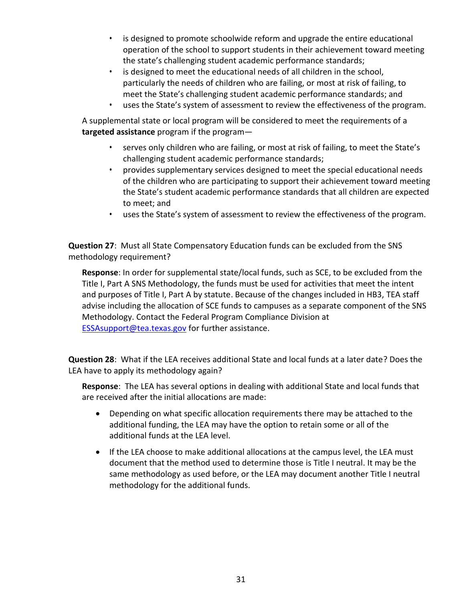- is designed to promote schoolwide reform and upgrade the entire educational operation of the school to support students in their achievement toward meeting the state's challenging student academic performance standards;
- is designed to meet the educational needs of all children in the school, particularly the needs of children who are failing, or most at risk of failing, to meet the State's challenging student academic performance standards; and
- uses the State's system of assessment to review the effectiveness of the program.

A supplemental state or local program will be considered to meet the requirements of a **targeted assistance** program if the program—

- serves only children who are failing, or most at risk of failing, to meet the State's challenging student academic performance standards;
- provides supplementary services designed to meet the special educational needs of the children who are participating to support their achievement toward meeting the State's student academic performance standards that all children are expected to meet; and
- uses the State's system of assessment to review the effectiveness of the program.

**Question 27**: Must all State Compensatory Education funds can be excluded from the SNS methodology requirement?

**Response**: In order for supplemental state/local funds, such as SCE, to be excluded from the Title I, Part A SNS Methodology, the funds must be used for activities that meet the intent and purposes of Title I, Part A by statute. Because of the changes included in HB3, TEA staff advise including the allocation of SCE funds to campuses as a separate component of the SNS Methodology. Contact the Federal Program Compliance Division at [ESSAsupport@tea.texas.gov](mailto:ESSAsupport@tea.texas.gov) for further assistance.

**Question 28**: What if the LEA receives additional State and local funds at a later date? Does the LEA have to apply its methodology again?

**Response**: The LEA has several options in dealing with additional State and local funds that are received after the initial allocations are made:

- Depending on what specific allocation requirements there may be attached to the additional funding, the LEA may have the option to retain some or all of the additional funds at the LEA level.
- If the LEA choose to make additional allocations at the campus level, the LEA must document that the method used to determine those is Title I neutral. It may be the same methodology as used before, or the LEA may document another Title I neutral methodology for the additional funds.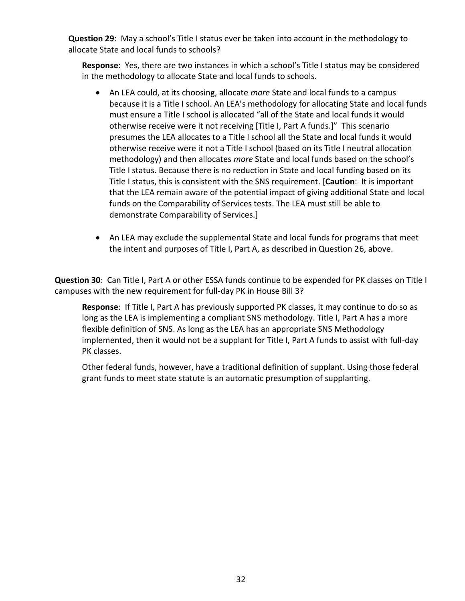**Question 29**: May a school's Title I status ever be taken into account in the methodology to allocate State and local funds to schools?

**Response**: Yes, there are two instances in which a school's Title I status may be considered in the methodology to allocate State and local funds to schools.

- An LEA could, at its choosing, allocate *more* State and local funds to a campus because it is a Title I school. An LEA's methodology for allocating State and local funds must ensure a Title I school is allocated "all of the State and local funds it would otherwise receive were it not receiving [Title I, Part A funds.]" This scenario presumes the LEA allocates to a Title I school all the State and local funds it would otherwise receive were it not a Title I school (based on its Title I neutral allocation methodology) and then allocates *more* State and local funds based on the school's Title I status. Because there is no reduction in State and local funding based on its Title I status, this is consistent with the SNS requirement. [**Caution**: It is important that the LEA remain aware of the potential impact of giving additional State and local funds on the Comparability of Services tests. The LEA must still be able to demonstrate Comparability of Services.]
- An LEA may exclude the supplemental State and local funds for programs that meet the intent and purposes of Title I, Part A, as described in Question 26, above.

**Question 30**: Can Title I, Part A or other ESSA funds continue to be expended for PK classes on Title I campuses with the new requirement for full-day PK in House Bill 3?

**Response**: If Title I, Part A has previously supported PK classes, it may continue to do so as long as the LEA is implementing a compliant SNS methodology. Title I, Part A has a more flexible definition of SNS. As long as the LEA has an appropriate SNS Methodology implemented, then it would not be a supplant for Title I, Part A funds to assist with full-day PK classes.

Other federal funds, however, have a traditional definition of supplant. Using those federal grant funds to meet state statute is an automatic presumption of supplanting.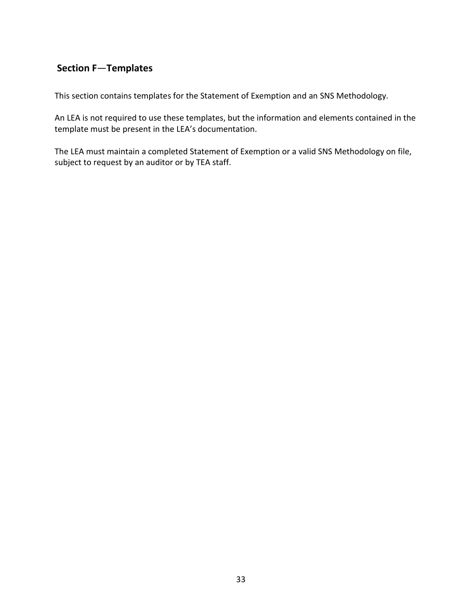# <span id="page-35-0"></span>**Section F**—**Templates**

This section contains templates for the Statement of Exemption and an SNS Methodology.

An LEA is not required to use these templates, but the information and elements contained in the template must be present in the LEA's documentation.

The LEA must maintain a completed Statement of Exemption or a valid SNS Methodology on file, subject to request by an auditor or by TEA staff.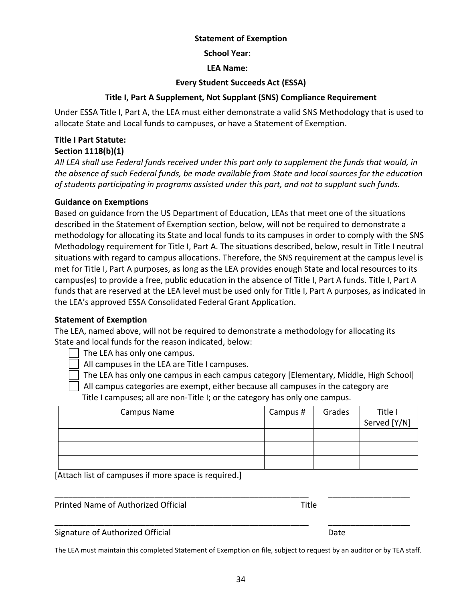#### **Statement of Exemption**

**School Year:** 

**LEA Name:** 

#### **Every Student Succeeds Act (ESSA)**

#### **Title I, Part A Supplement, Not Supplant (SNS) Compliance Requirement**

<span id="page-36-0"></span>Under ESSA Title I, Part A, the LEA must either demonstrate a valid SNS Methodology that is used to allocate State and Local funds to campuses, or have a Statement of Exemption.

#### **Title I Part Statute:**

#### **Section 1118(b)(1)**

*All LEA shall use Federal funds received under this part only to supplement the funds that would, in the absence of such Federal funds, be made available from State and local sources for the education of students participating in programs assisted under this part, and not to supplant such funds.*

#### **Guidance on Exemptions**

Based on guidance from the US Department of Education, LEAs that meet one of the situations described in the Statement of Exemption section, below, will not be required to demonstrate a methodology for allocating its State and local funds to its campuses in order to comply with the SNS Methodology requirement for Title I, Part A. The situations described, below, result in Title I neutral situations with regard to campus allocations. Therefore, the SNS requirement at the campus level is met for Title I, Part A purposes, as long as the LEA provides enough State and local resources to its campus(es) to provide a free, public education in the absence of Title I, Part A funds. Title I, Part A funds that are reserved at the LEA level must be used only for Title I, Part A purposes, as indicated in the LEA's approved ESSA Consolidated Federal Grant Application.

#### **Statement of Exemption**

The LEA, named above, will not be required to demonstrate a methodology for allocating its State and local funds for the reason indicated, below:

The LEA has only one campus.

All campuses in the LEA are Title I campuses.

The LEA has only one campus in each campus category [Elementary, Middle, High School]

All campus categories are exempt, either because all campuses in the category are

Title I campuses; all are non-Title I; or the category has only one campus.

| Campus Name | Campus # | Grades | Title I      |
|-------------|----------|--------|--------------|
|             |          |        | Served [Y/N] |
|             |          |        |              |
|             |          |        |              |
|             |          |        |              |

\_\_\_\_\_\_\_\_\_\_\_\_\_\_\_\_\_\_\_\_\_\_\_\_\_\_\_\_\_\_\_\_\_\_\_\_\_\_\_\_\_\_\_\_\_\_\_\_\_\_\_\_\_\_\_\_ \_\_\_\_\_\_\_\_\_\_\_\_\_\_\_\_\_\_

\_\_\_\_\_\_\_\_\_\_\_\_\_\_\_\_\_\_\_\_\_\_\_\_\_\_\_\_\_\_\_\_\_\_\_\_\_\_\_\_\_\_\_\_\_\_\_\_\_\_\_\_\_\_\_\_ \_\_\_\_\_\_\_\_\_\_\_\_\_\_\_\_\_\_

[Attach list of campuses if more space is required.]

Printed Name of Authorized Official Title

Signature of Authorized Official Date **Date Contains a Struck Container and Contains Containing Containing Contains** 

The LEA must maintain this completed Statement of Exemption on file, subject to request by an auditor or by TEA staff.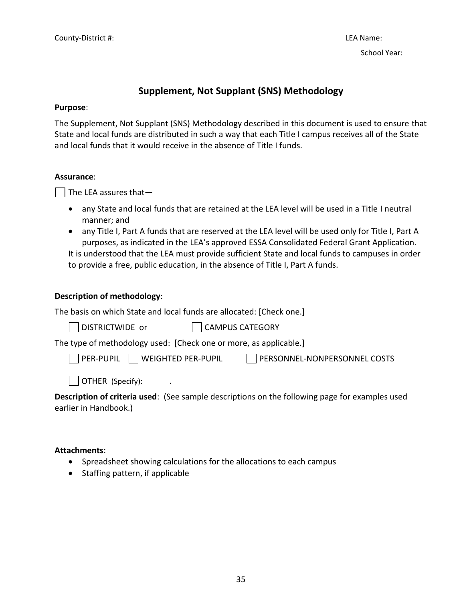# **Supplement, Not Supplant (SNS) Methodology**

#### <span id="page-37-0"></span>**Purpose**:

The Supplement, Not Supplant (SNS) Methodology described in this document is used to ensure that State and local funds are distributed in such a way that each Title I campus receives all of the State and local funds that it would receive in the absence of Title I funds.

#### **Assurance**:

 $\vert$  The LEA assures that  $-$ 

- any State and local funds that are retained at the LEA level will be used in a Title I neutral manner; and
- any Title I, Part A funds that are reserved at the LEA level will be used only for Title I, Part A purposes, as indicated in the LEA's approved ESSA Consolidated Federal Grant Application. It is understood that the LEA must provide sufficient State and local funds to campuses in order to provide a free, public education, in the absence of Title I, Part A funds.

#### **Description of methodology**:

The basis on which State and local funds are allocated: [Check one.]

| DISTRICTWIDE or | CAMPUS CATEGORY |
|-----------------|-----------------|
|-----------------|-----------------|

The type of methodology used: [Check one or more, as applicable.]

PER-PUPIL WEIGHTED PER-PUPIL PERSONNEL-NONPERSONNEL COSTS

 $\Box$  OTHER (Specify):

**Description of criteria used**: (See sample descriptions on the following page for examples used earlier in Handbook.)

#### **Attachments**:

- Spreadsheet showing calculations for the allocations to each campus
- Staffing pattern, if applicable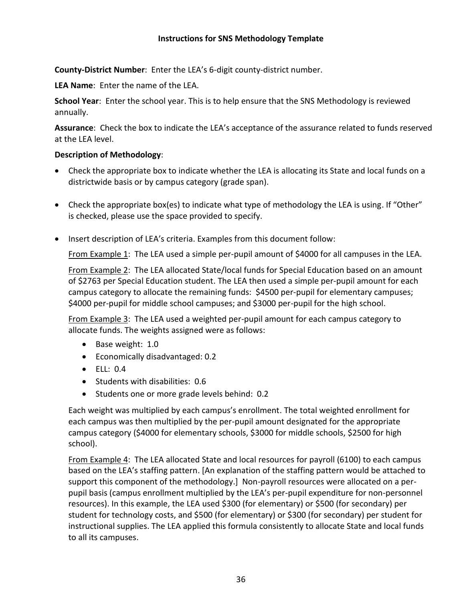#### **Instructions for SNS Methodology Template**

**County-District Number**: Enter the LEA's 6-digit county-district number.

**LEA Name**: Enter the name of the LEA.

**School Year**: Enter the school year. This is to help ensure that the SNS Methodology is reviewed annually.

**Assurance**: Check the box to indicate the LEA's acceptance of the assurance related to funds reserved at the LEA level.

#### **Description of Methodology**:

- Check the appropriate box to indicate whether the LEA is allocating its State and local funds on a districtwide basis or by campus category (grade span).
- Check the appropriate box(es) to indicate what type of methodology the LEA is using. If "Other" is checked, please use the space provided to specify.
- Insert description of LEA's criteria. Examples from this document follow:

From Example 1: The LEA used a simple per-pupil amount of \$4000 for all campuses in the LEA.

From Example 2: The LEA allocated State/local funds for Special Education based on an amount of \$2763 per Special Education student. The LEA then used a simple per-pupil amount for each campus category to allocate the remaining funds: \$4500 per-pupil for elementary campuses; \$4000 per-pupil for middle school campuses; and \$3000 per-pupil for the high school.

From Example 3: The LEA used a weighted per-pupil amount for each campus category to allocate funds. The weights assigned were as follows:

- Base weight: 1.0
- Economically disadvantaged: 0.2
- ELL: 0.4
- Students with disabilities: 0.6
- Students one or more grade levels behind: 0.2

Each weight was multiplied by each campus's enrollment. The total weighted enrollment for each campus was then multiplied by the per-pupil amount designated for the appropriate campus category (\$4000 for elementary schools, \$3000 for middle schools, \$2500 for high school).

From Example 4: The LEA allocated State and local resources for payroll (6100) to each campus based on the LEA's staffing pattern. [An explanation of the staffing pattern would be attached to support this component of the methodology.] Non-payroll resources were allocated on a perpupil basis (campus enrollment multiplied by the LEA's per-pupil expenditure for non-personnel resources). In this example, the LEA used \$300 (for elementary) or \$500 (for secondary) per student for technology costs, and \$500 (for elementary) or \$300 (for secondary) per student for instructional supplies. The LEA applied this formula consistently to allocate State and local funds to all its campuses.